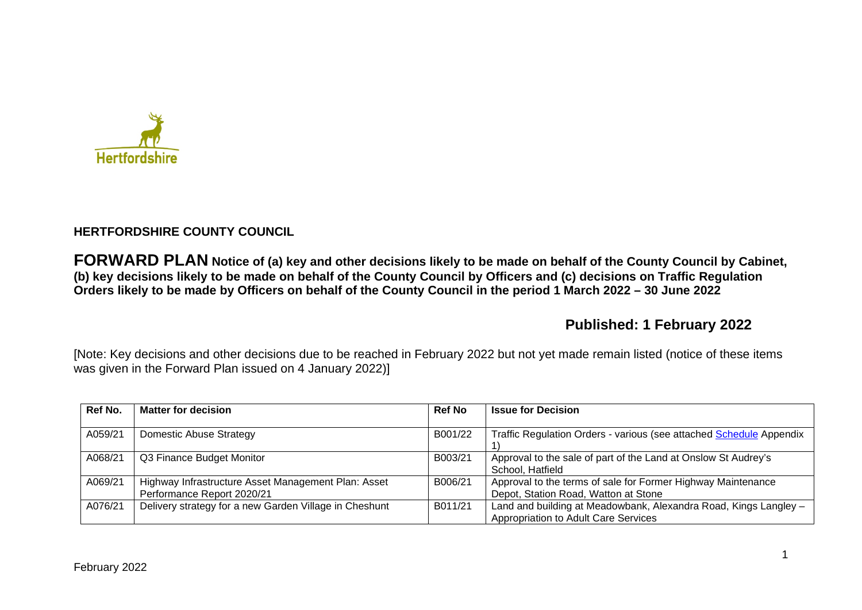

## **HERTFORDSHIRE COUNTY COUNCIL**

**FORWARD PLAN Notice of (a) key and other decisions likely to be made on behalf of the County Council by Cabinet, (b) key decisions likely to be made on behalf of the County Council by Officers and (c) decisions on Traffic Regulation Orders likely to be made by Officers on behalf of the County Council in the period 1 March 2022 – 30 June 2022** 

# **Published: 1 February 2022**

[Note: Key decisions and other decisions due to be reached in February 2022 but not yet made remain listed (notice of these items was given in the Forward Plan issued on 4 January 2022)]

| Ref No. | <b>Matter for decision</b>                                                        | <b>Ref No</b> | <b>Issue for Decision</b>                                                                                |
|---------|-----------------------------------------------------------------------------------|---------------|----------------------------------------------------------------------------------------------------------|
| A059/21 | <b>Domestic Abuse Strategy</b>                                                    | B001/22       | Traffic Regulation Orders - various (see attached Schedule Appendix                                      |
| A068/21 | Q3 Finance Budget Monitor                                                         | B003/21       | Approval to the sale of part of the Land at Onslow St Audrey's<br>School, Hatfield                       |
| A069/21 | Highway Infrastructure Asset Management Plan: Asset<br>Performance Report 2020/21 | B006/21       | Approval to the terms of sale for Former Highway Maintenance<br>Depot, Station Road, Watton at Stone     |
| A076/21 | Delivery strategy for a new Garden Village in Cheshunt                            | B011/21       | Land and building at Meadowbank, Alexandra Road, Kings Langley -<br>Appropriation to Adult Care Services |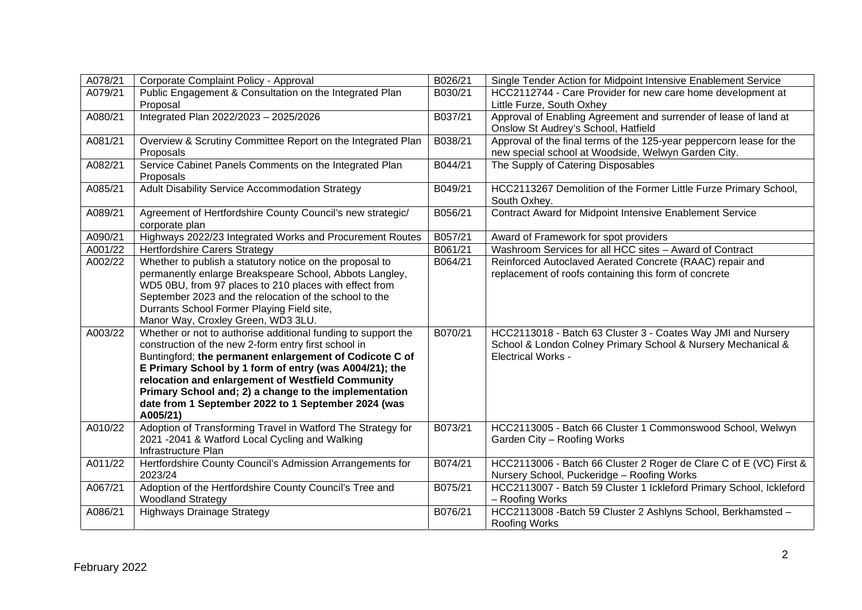| A078/21 | Corporate Complaint Policy - Approval                                                                                                                                                                                                                                                                                                                                                                                       | B026/21 | Single Tender Action for Midpoint Intensive Enablement Service                                                                                            |
|---------|-----------------------------------------------------------------------------------------------------------------------------------------------------------------------------------------------------------------------------------------------------------------------------------------------------------------------------------------------------------------------------------------------------------------------------|---------|-----------------------------------------------------------------------------------------------------------------------------------------------------------|
| A079/21 | Public Engagement & Consultation on the Integrated Plan<br>Proposal                                                                                                                                                                                                                                                                                                                                                         | B030/21 | HCC2112744 - Care Provider for new care home development at<br>Little Furze, South Oxhey                                                                  |
| A080/21 | Integrated Plan 2022/2023 - 2025/2026                                                                                                                                                                                                                                                                                                                                                                                       | B037/21 | Approval of Enabling Agreement and surrender of lease of land at<br>Onslow St Audrey's School, Hatfield                                                   |
| A081/21 | Overview & Scrutiny Committee Report on the Integrated Plan<br>Proposals                                                                                                                                                                                                                                                                                                                                                    | B038/21 | Approval of the final terms of the 125-year peppercorn lease for the<br>new special school at Woodside, Welwyn Garden City.                               |
| A082/21 | Service Cabinet Panels Comments on the Integrated Plan<br>Proposals                                                                                                                                                                                                                                                                                                                                                         | B044/21 | The Supply of Catering Disposables                                                                                                                        |
| A085/21 | Adult Disability Service Accommodation Strategy                                                                                                                                                                                                                                                                                                                                                                             | B049/21 | HCC2113267 Demolition of the Former Little Furze Primary School,<br>South Oxhey.                                                                          |
| A089/21 | Agreement of Hertfordshire County Council's new strategic/<br>corporate plan                                                                                                                                                                                                                                                                                                                                                | B056/21 | <b>Contract Award for Midpoint Intensive Enablement Service</b>                                                                                           |
| A090/21 | Highways 2022/23 Integrated Works and Procurement Routes                                                                                                                                                                                                                                                                                                                                                                    | B057/21 | Award of Framework for spot providers                                                                                                                     |
| A001/22 | <b>Hertfordshire Carers Strategy</b>                                                                                                                                                                                                                                                                                                                                                                                        | B061/21 | Washroom Services for all HCC sites - Award of Contract                                                                                                   |
| A002/22 | Whether to publish a statutory notice on the proposal to<br>permanently enlarge Breakspeare School, Abbots Langley,<br>WD5 0BU, from 97 places to 210 places with effect from<br>September 2023 and the relocation of the school to the<br>Durrants School Former Playing Field site,<br>Manor Way, Croxley Green, WD3 3LU.                                                                                                 | B064/21 | Reinforced Autoclaved Aerated Concrete (RAAC) repair and<br>replacement of roofs containing this form of concrete                                         |
| A003/22 | Whether or not to authorise additional funding to support the<br>construction of the new 2-form entry first school in<br>Buntingford; the permanent enlargement of Codicote C of<br>E Primary School by 1 form of entry (was A004/21); the<br>relocation and enlargement of Westfield Community<br>Primary School and; 2) a change to the implementation<br>date from 1 September 2022 to 1 September 2024 (was<br>A005/21) | B070/21 | HCC2113018 - Batch 63 Cluster 3 - Coates Way JMI and Nursery<br>School & London Colney Primary School & Nursery Mechanical &<br><b>Electrical Works -</b> |
| A010/22 | Adoption of Transforming Travel in Watford The Strategy for<br>2021 -2041 & Watford Local Cycling and Walking<br>Infrastructure Plan                                                                                                                                                                                                                                                                                        | B073/21 | HCC2113005 - Batch 66 Cluster 1 Commonswood School, Welwyn<br>Garden City - Roofing Works                                                                 |
| A011/22 | Hertfordshire County Council's Admission Arrangements for<br>2023/24                                                                                                                                                                                                                                                                                                                                                        | B074/21 | HCC2113006 - Batch 66 Cluster 2 Roger de Clare C of E (VC) First &<br>Nursery School, Puckeridge - Roofing Works                                          |
| A067/21 | Adoption of the Hertfordshire County Council's Tree and<br><b>Woodland Strategy</b>                                                                                                                                                                                                                                                                                                                                         | B075/21 | HCC2113007 - Batch 59 Cluster 1 Ickleford Primary School, Ickleford<br>- Roofing Works                                                                    |
| A086/21 | <b>Highways Drainage Strategy</b>                                                                                                                                                                                                                                                                                                                                                                                           | B076/21 | HCC2113008 - Batch 59 Cluster 2 Ashlyns School, Berkhamsted -<br><b>Roofing Works</b>                                                                     |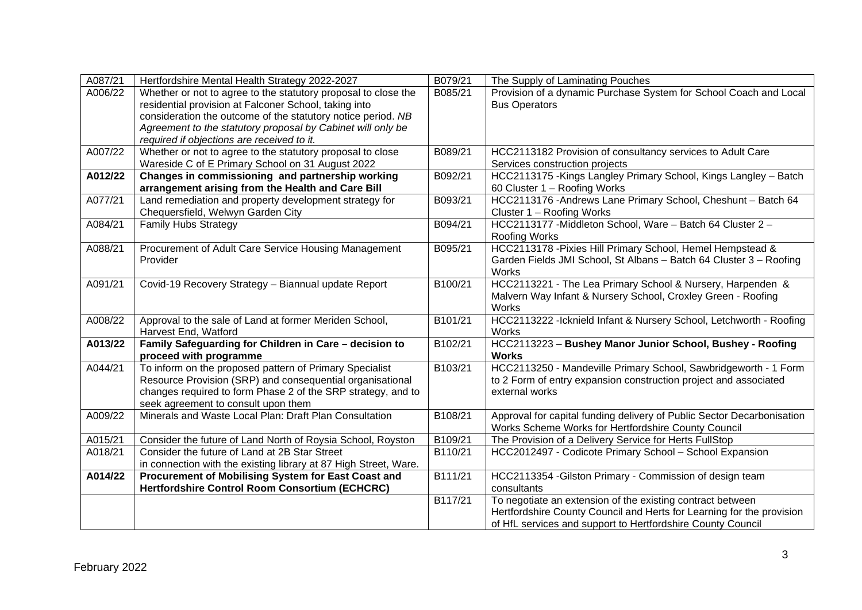| A087/21 | Hertfordshire Mental Health Strategy 2022-2027                                                                                                                                                                                                                                                       | B079/21 | The Supply of Laminating Pouches                                                                                                                                                                   |
|---------|------------------------------------------------------------------------------------------------------------------------------------------------------------------------------------------------------------------------------------------------------------------------------------------------------|---------|----------------------------------------------------------------------------------------------------------------------------------------------------------------------------------------------------|
| A006/22 | Whether or not to agree to the statutory proposal to close the<br>residential provision at Falconer School, taking into<br>consideration the outcome of the statutory notice period. NB<br>Agreement to the statutory proposal by Cabinet will only be<br>required if objections are received to it. | B085/21 | Provision of a dynamic Purchase System for School Coach and Local<br><b>Bus Operators</b>                                                                                                          |
| A007/22 | Whether or not to agree to the statutory proposal to close<br>Wareside C of E Primary School on 31 August 2022                                                                                                                                                                                       | B089/21 | HCC2113182 Provision of consultancy services to Adult Care<br>Services construction projects                                                                                                       |
| A012/22 | Changes in commissioning and partnership working<br>arrangement arising from the Health and Care Bill                                                                                                                                                                                                | B092/21 | HCC2113175 - Kings Langley Primary School, Kings Langley - Batch<br>60 Cluster 1 - Roofing Works                                                                                                   |
| A077/21 | Land remediation and property development strategy for<br>Chequersfield, Welwyn Garden City                                                                                                                                                                                                          | B093/21 | HCC2113176 - Andrews Lane Primary School, Cheshunt - Batch 64<br>Cluster 1 - Roofing Works                                                                                                         |
| A084/21 | <b>Family Hubs Strategy</b>                                                                                                                                                                                                                                                                          | B094/21 | HCC2113177 - Middleton School, Ware - Batch 64 Cluster 2 -<br>Roofing Works                                                                                                                        |
| A088/21 | Procurement of Adult Care Service Housing Management<br>Provider                                                                                                                                                                                                                                     | B095/21 | HCC2113178 - Pixies Hill Primary School, Hemel Hempstead &<br>Garden Fields JMI School, St Albans - Batch 64 Cluster 3 - Roofing<br>Works                                                          |
| A091/21 | Covid-19 Recovery Strategy - Biannual update Report                                                                                                                                                                                                                                                  | B100/21 | HCC2113221 - The Lea Primary School & Nursery, Harpenden &<br>Malvern Way Infant & Nursery School, Croxley Green - Roofing<br>Works                                                                |
| A008/22 | Approval to the sale of Land at former Meriden School,<br>Harvest End, Watford                                                                                                                                                                                                                       | B101/21 | HCC2113222 - Icknield Infant & Nursery School, Letchworth - Roofing<br>Works                                                                                                                       |
| A013/22 | Family Safeguarding for Children in Care - decision to<br>proceed with programme                                                                                                                                                                                                                     | B102/21 | HCC2113223 - Bushey Manor Junior School, Bushey - Roofing<br><b>Works</b>                                                                                                                          |
| A044/21 | To inform on the proposed pattern of Primary Specialist<br>Resource Provision (SRP) and consequential organisational<br>changes required to form Phase 2 of the SRP strategy, and to<br>seek agreement to consult upon them                                                                          | B103/21 | HCC2113250 - Mandeville Primary School, Sawbridgeworth - 1 Form<br>to 2 Form of entry expansion construction project and associated<br>external works                                              |
| A009/22 | Minerals and Waste Local Plan: Draft Plan Consultation                                                                                                                                                                                                                                               | B108/21 | Approval for capital funding delivery of Public Sector Decarbonisation<br>Works Scheme Works for Hertfordshire County Council                                                                      |
| A015/21 | Consider the future of Land North of Roysia School, Royston                                                                                                                                                                                                                                          | B109/21 | The Provision of a Delivery Service for Herts FullStop                                                                                                                                             |
| A018/21 | Consider the future of Land at 2B Star Street<br>in connection with the existing library at 87 High Street, Ware.                                                                                                                                                                                    | B110/21 | HCC2012497 - Codicote Primary School - School Expansion                                                                                                                                            |
| A014/22 | Procurement of Mobilising System for East Coast and<br><b>Hertfordshire Control Room Consortium (ECHCRC)</b>                                                                                                                                                                                         | B111/21 | HCC2113354 - Gilston Primary - Commission of design team<br>consultants                                                                                                                            |
|         |                                                                                                                                                                                                                                                                                                      | B117/21 | To negotiate an extension of the existing contract between<br>Hertfordshire County Council and Herts for Learning for the provision<br>of HfL services and support to Hertfordshire County Council |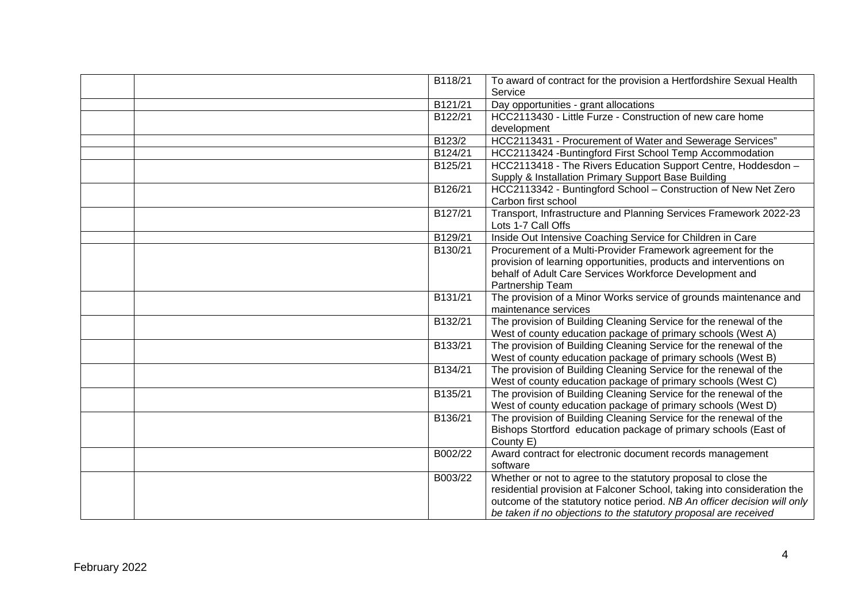| B118/21              | To award of contract for the provision a Hertfordshire Sexual Health     |
|----------------------|--------------------------------------------------------------------------|
|                      | Service                                                                  |
| B121/21              | Day opportunities - grant allocations                                    |
| B122/21              | HCC2113430 - Little Furze - Construction of new care home                |
|                      | development                                                              |
| B123/2               | HCC2113431 - Procurement of Water and Sewerage Services"                 |
| B124/21              | HCC2113424 - Buntingford First School Temp Accommodation                 |
| B125/21              | HCC2113418 - The Rivers Education Support Centre, Hoddesdon -            |
|                      | Supply & Installation Primary Support Base Building                      |
| B126/21              | HCC2113342 - Buntingford School - Construction of New Net Zero           |
|                      | Carbon first school                                                      |
| B127/21              | Transport, Infrastructure and Planning Services Framework 2022-23        |
|                      | Lots 1-7 Call Offs                                                       |
| B129/21              | Inside Out Intensive Coaching Service for Children in Care               |
| B130/21              | Procurement of a Multi-Provider Framework agreement for the              |
|                      | provision of learning opportunities, products and interventions on       |
|                      | behalf of Adult Care Services Workforce Development and                  |
|                      | Partnership Team                                                         |
| B131/21              | The provision of a Minor Works service of grounds maintenance and        |
|                      | maintenance services                                                     |
| B132/21              | The provision of Building Cleaning Service for the renewal of the        |
|                      | West of county education package of primary schools (West A)             |
| B133/21              | The provision of Building Cleaning Service for the renewal of the        |
|                      | West of county education package of primary schools (West B)             |
| B134/21              | The provision of Building Cleaning Service for the renewal of the        |
|                      | West of county education package of primary schools (West C)             |
| B135/21              | The provision of Building Cleaning Service for the renewal of the        |
|                      | West of county education package of primary schools (West D)             |
| B <sub>136</sub> /21 | The provision of Building Cleaning Service for the renewal of the        |
|                      | Bishops Stortford education package of primary schools (East of          |
|                      | County E)                                                                |
| B002/22              | Award contract for electronic document records management                |
|                      | software                                                                 |
| B003/22              | Whether or not to agree to the statutory proposal to close the           |
|                      | residential provision at Falconer School, taking into consideration the  |
|                      | outcome of the statutory notice period. NB An officer decision will only |
|                      | be taken if no objections to the statutory proposal are received         |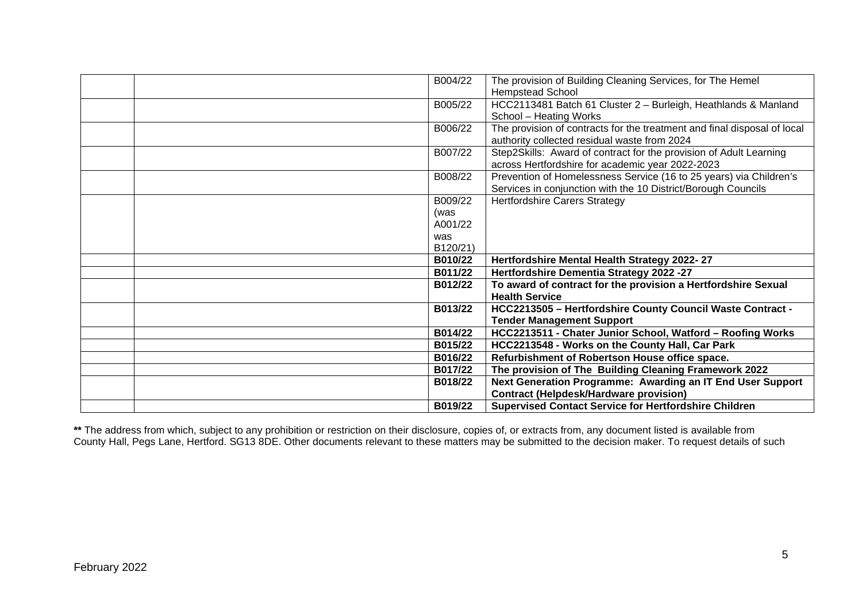| B004/22                    | The provision of Building Cleaning Services, for The Hemel<br><b>Hempstead School</b>                                               |
|----------------------------|-------------------------------------------------------------------------------------------------------------------------------------|
| B005/22                    | HCC2113481 Batch 61 Cluster 2 - Burleigh, Heathlands & Manland<br>School - Heating Works                                            |
| B006/22                    | The provision of contracts for the treatment and final disposal of local<br>authority collected residual waste from 2024            |
| B007/22                    | Step2Skills: Award of contract for the provision of Adult Learning<br>across Hertfordshire for academic year 2022-2023              |
| B008/22                    | Prevention of Homelessness Service (16 to 25 years) via Children's<br>Services in conjunction with the 10 District/Borough Councils |
| B009/22<br>(was<br>A001/22 | <b>Hertfordshire Carers Strategy</b>                                                                                                |
| was<br>B120/21)            |                                                                                                                                     |
| B010/22                    | Hertfordshire Mental Health Strategy 2022-27                                                                                        |
| B011/22                    | Hertfordshire Dementia Strategy 2022 -27                                                                                            |
| B012/22                    | To award of contract for the provision a Hertfordshire Sexual<br><b>Health Service</b>                                              |
|                            | HCC2213505 - Hertfordshire County Council Waste Contract -<br>B013/22<br><b>Tender Management Support</b>                           |
| B014/22                    | HCC2213511 - Chater Junior School, Watford - Roofing Works                                                                          |
|                            | B015/22<br>HCC2213548 - Works on the County Hall, Car Park                                                                          |
| B016/22                    | Refurbishment of Robertson House office space.                                                                                      |
| B017/22                    | The provision of The Building Cleaning Framework 2022                                                                               |
| B018/22                    | Next Generation Programme: Awarding an IT End User Support                                                                          |
|                            | <b>Contract (Helpdesk/Hardware provision)</b>                                                                                       |
| B019/22                    | <b>Supervised Contact Service for Hertfordshire Children</b>                                                                        |

**\*\*** The address from which, subject to any prohibition or restriction on their disclosure, copies of, or extracts from, any document listed is available from County Hall, Pegs Lane, Hertford. SG13 8DE. Other documents relevant to these matters may be submitted to the decision maker. To request details of such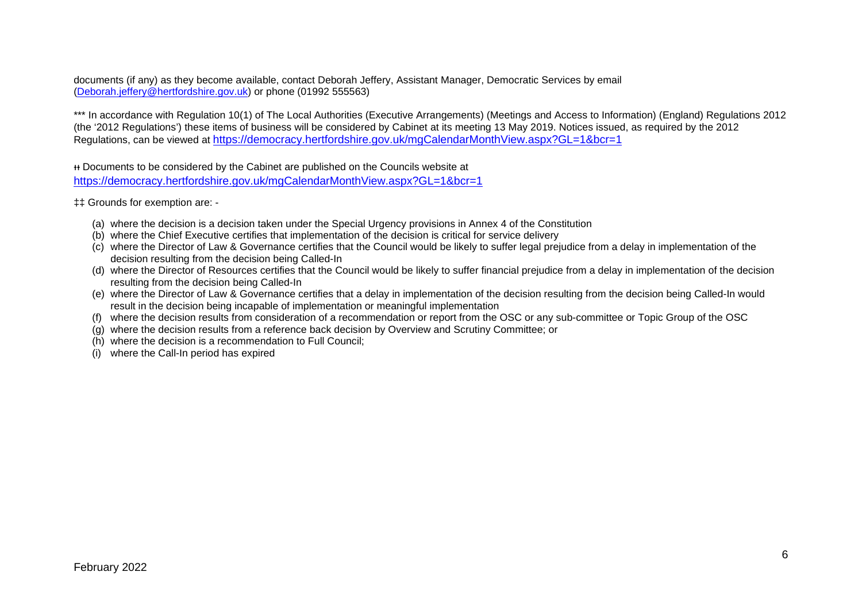documents (if any) as they become available, contact Deborah Jeffery, Assistant Manager, Democratic Services by email [\(Deborah.jeffery@hertfordshire.gov.uk\)](mailto:Deborah.jeffery@hertfordshire.gov.uk) or phone (01992 555563)

\*\*\* In accordance with Regulation 10(1) of The Local Authorities (Executive Arrangements) (Meetings and Access to Information) (England) Regulations 2012 (the '2012 Regulations') these items of business will be considered by Cabinet at its meeting 13 May 2019. Notices issued, as required by the 2012 Regulations, can be viewed at <https://democracy.hertfordshire.gov.uk/mgCalendarMonthView.aspx?GL=1&bcr=1>

ᵻᵻ Documents to be considered by the Cabinet are published on the Councils website at <https://democracy.hertfordshire.gov.uk/mgCalendarMonthView.aspx?GL=1&bcr=1>

‡‡ Grounds for exemption are: -

- (a) where the decision is a decision taken under the Special Urgency provisions in Annex 4 of the Constitution
- (b) where the Chief Executive certifies that implementation of the decision is critical for service delivery
- (c) where the Director of Law & Governance certifies that the Council would be likely to suffer legal prejudice from a delay in implementation of the decision resulting from the decision being Called-In
- (d) where the Director of Resources certifies that the Council would be likely to suffer financial prejudice from a delay in implementation of the decision resulting from the decision being Called-In
- (e) where the Director of Law & Governance certifies that a delay in implementation of the decision resulting from the decision being Called-In would result in the decision being incapable of implementation or meaningful implementation
- (f) where the decision results from consideration of a recommendation or report from the OSC or any sub-committee or Topic Group of the OSC
- (g) where the decision results from a reference back decision by Overview and Scrutiny Committee; or
- (h) where the decision is a recommendation to Full Council;
- (i) where the Call-In period has expired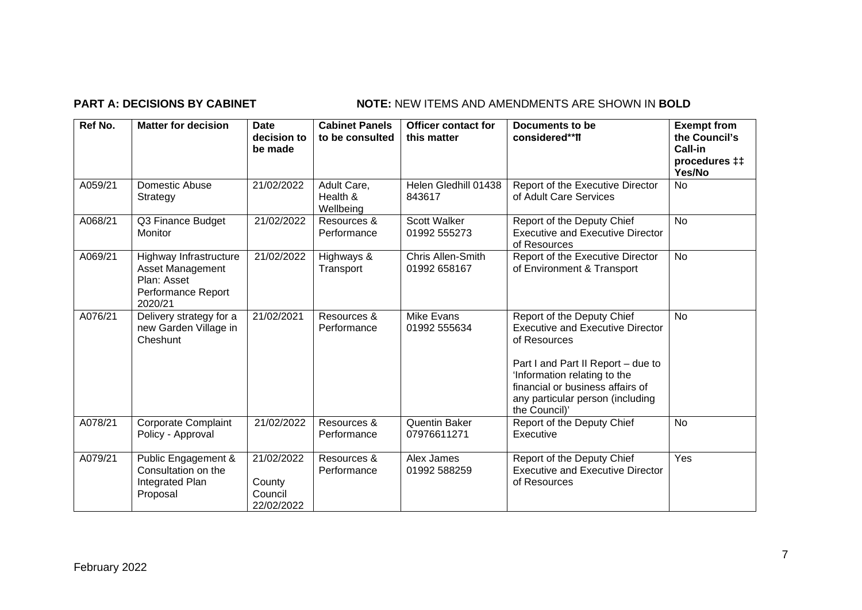## **PART A: DECISIONS BY CABINET NOTE:** NEW ITEMS AND AMENDMENTS ARE SHOWN IN BOLD

| Ref No. | <b>Matter for decision</b>                                                                        | <b>Date</b><br>decision to<br>be made         | <b>Cabinet Panels</b><br>to be consulted | <b>Officer contact for</b><br>this matter | Documents to be<br>considered**II                                                                                                                                                                                                                    | <b>Exempt from</b><br>the Council's<br><b>Call-in</b><br>procedures ‡‡<br>Yes/No |
|---------|---------------------------------------------------------------------------------------------------|-----------------------------------------------|------------------------------------------|-------------------------------------------|------------------------------------------------------------------------------------------------------------------------------------------------------------------------------------------------------------------------------------------------------|----------------------------------------------------------------------------------|
| A059/21 | Domestic Abuse<br>Strategy                                                                        | 21/02/2022                                    | Adult Care,<br>Health &<br>Wellbeing     | Helen Gledhill 01438<br>843617            | Report of the Executive Director<br>of Adult Care Services                                                                                                                                                                                           | No                                                                               |
| A068/21 | Q3 Finance Budget<br><b>Monitor</b>                                                               | 21/02/2022                                    | Resources &<br>Performance               | Scott Walker<br>01992 555273              | Report of the Deputy Chief<br><b>Executive and Executive Director</b><br>of Resources                                                                                                                                                                | <b>No</b>                                                                        |
| A069/21 | Highway Infrastructure<br><b>Asset Management</b><br>Plan: Asset<br>Performance Report<br>2020/21 | 21/02/2022                                    | Highways &<br>Transport                  | <b>Chris Allen-Smith</b><br>01992 658167  | Report of the Executive Director<br>of Environment & Transport                                                                                                                                                                                       | <b>No</b>                                                                        |
| A076/21 | Delivery strategy for a<br>new Garden Village in<br>Cheshunt                                      | 21/02/2021                                    | Resources &<br>Performance               | <b>Mike Evans</b><br>01992 555634         | Report of the Deputy Chief<br><b>Executive and Executive Director</b><br>of Resources<br>Part I and Part II Report - due to<br>'Information relating to the<br>financial or business affairs of<br>any particular person (including<br>the Council)' | <b>No</b>                                                                        |
| A078/21 | <b>Corporate Complaint</b><br>Policy - Approval                                                   | 21/02/2022                                    | Resources &<br>Performance               | <b>Quentin Baker</b><br>07976611271       | Report of the Deputy Chief<br>Executive                                                                                                                                                                                                              | <b>No</b>                                                                        |
| A079/21 | Public Engagement &<br>Consultation on the<br>Integrated Plan<br>Proposal                         | 21/02/2022<br>County<br>Council<br>22/02/2022 | Resources &<br>Performance               | Alex James<br>01992 588259                | Report of the Deputy Chief<br><b>Executive and Executive Director</b><br>of Resources                                                                                                                                                                | Yes                                                                              |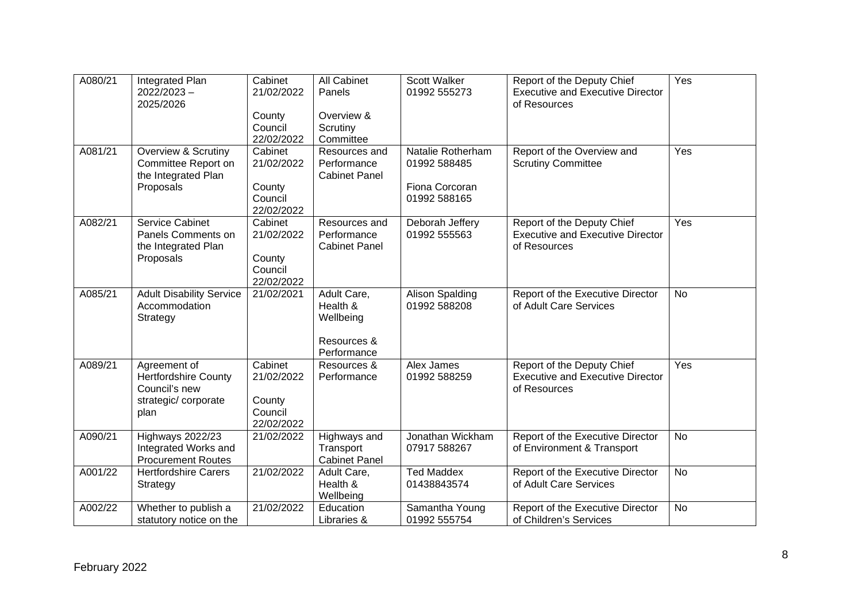| A080/21 | Integrated Plan                 | Cabinet    | All Cabinet          | Scott Walker      | Report of the Deputy Chief              | Yes       |
|---------|---------------------------------|------------|----------------------|-------------------|-----------------------------------------|-----------|
|         | $2022/2023 -$                   | 21/02/2022 | Panels               | 01992 555273      | <b>Executive and Executive Director</b> |           |
|         | 2025/2026                       |            |                      |                   | of Resources                            |           |
|         |                                 | County     | Overview &           |                   |                                         |           |
|         |                                 | Council    | Scrutiny             |                   |                                         |           |
|         |                                 | 22/02/2022 | Committee            |                   |                                         |           |
| A081/21 | Overview & Scrutiny             | Cabinet    | Resources and        | Natalie Rotherham | Report of the Overview and              | Yes       |
|         | Committee Report on             | 21/02/2022 | Performance          | 01992 588485      | <b>Scrutiny Committee</b>               |           |
|         | the Integrated Plan             |            | <b>Cabinet Panel</b> |                   |                                         |           |
|         | Proposals                       | County     |                      | Fiona Corcoran    |                                         |           |
|         |                                 | Council    |                      | 01992 588165      |                                         |           |
|         |                                 | 22/02/2022 |                      |                   |                                         |           |
| A082/21 | Service Cabinet                 | Cabinet    | Resources and        | Deborah Jeffery   | Report of the Deputy Chief              | Yes       |
|         | Panels Comments on              | 21/02/2022 | Performance          | 01992 555563      | <b>Executive and Executive Director</b> |           |
|         | the Integrated Plan             |            | <b>Cabinet Panel</b> |                   | of Resources                            |           |
|         | Proposals                       | County     |                      |                   |                                         |           |
|         |                                 | Council    |                      |                   |                                         |           |
|         |                                 | 22/02/2022 |                      |                   |                                         |           |
| A085/21 | <b>Adult Disability Service</b> | 21/02/2021 | Adult Care,          | Alison Spalding   | Report of the Executive Director        | <b>No</b> |
|         | Accommodation                   |            | Health &             | 01992 588208      | of Adult Care Services                  |           |
|         | Strategy                        |            | Wellbeing            |                   |                                         |           |
|         |                                 |            |                      |                   |                                         |           |
|         |                                 |            | Resources &          |                   |                                         |           |
|         |                                 |            | Performance          |                   |                                         |           |
| A089/21 | Agreement of                    | Cabinet    | Resources &          | Alex James        | Report of the Deputy Chief              | Yes       |
|         | <b>Hertfordshire County</b>     | 21/02/2022 | Performance          | 01992 588259      | <b>Executive and Executive Director</b> |           |
|         | Council's new                   |            |                      |                   | of Resources                            |           |
|         | strategic/corporate             | County     |                      |                   |                                         |           |
|         | plan                            | Council    |                      |                   |                                         |           |
|         |                                 | 22/02/2022 |                      |                   |                                         |           |
| A090/21 | Highways 2022/23                | 21/02/2022 | Highways and         | Jonathan Wickham  | Report of the Executive Director        | <b>No</b> |
|         | Integrated Works and            |            | Transport            | 07917 588267      | of Environment & Transport              |           |
|         | <b>Procurement Routes</b>       |            | <b>Cabinet Panel</b> |                   |                                         |           |
| A001/22 | <b>Hertfordshire Carers</b>     | 21/02/2022 | Adult Care,          | <b>Ted Maddex</b> | Report of the Executive Director        | <b>No</b> |
|         | Strategy                        |            | Health &             | 01438843574       | of Adult Care Services                  |           |
|         |                                 |            | Wellbeing            |                   |                                         |           |
| A002/22 | Whether to publish a            | 21/02/2022 | Education            | Samantha Young    | Report of the Executive Director        | <b>No</b> |
|         | statutory notice on the         |            | Libraries &          | 01992 555754      | of Children's Services                  |           |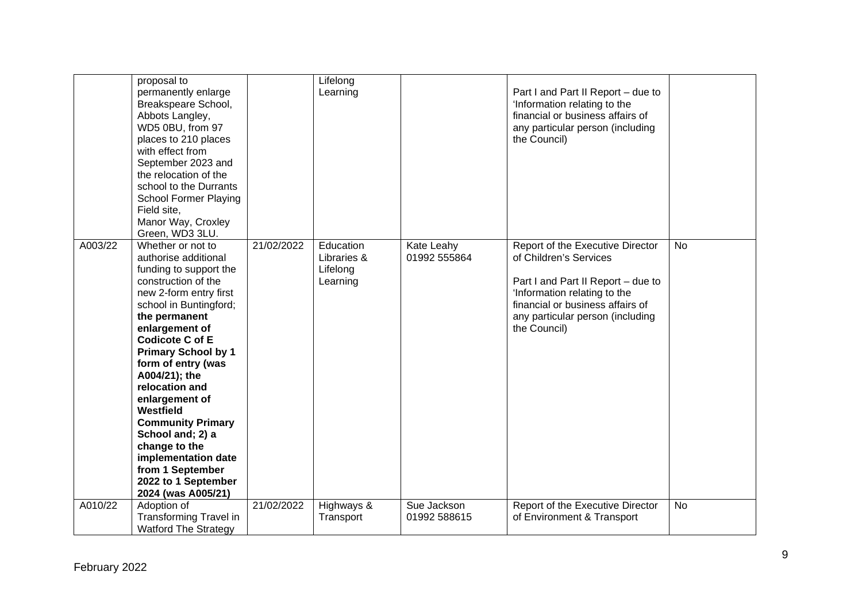|         | proposal to<br>permanently enlarge<br>Breakspeare School,<br>Abbots Langley,<br>WD5 0BU, from 97<br>places to 210 places<br>with effect from<br>September 2023 and<br>the relocation of the<br>school to the Durrants<br><b>School Former Playing</b><br>Field site,<br>Manor Way, Croxley<br>Green, WD3 3LU.                                                                                                                                                                              |            | Lifelong<br>Learning                             |                             | Part I and Part II Report - due to<br>'Information relating to the<br>financial or business affairs of<br>any particular person (including<br>the Council)                                                               |           |
|---------|--------------------------------------------------------------------------------------------------------------------------------------------------------------------------------------------------------------------------------------------------------------------------------------------------------------------------------------------------------------------------------------------------------------------------------------------------------------------------------------------|------------|--------------------------------------------------|-----------------------------|--------------------------------------------------------------------------------------------------------------------------------------------------------------------------------------------------------------------------|-----------|
| A003/22 | Whether or not to<br>authorise additional<br>funding to support the<br>construction of the<br>new 2-form entry first<br>school in Buntingford;<br>the permanent<br>enlargement of<br><b>Codicote C of E</b><br><b>Primary School by 1</b><br>form of entry (was<br>A004/21); the<br>relocation and<br>enlargement of<br>Westfield<br><b>Community Primary</b><br>School and; 2) a<br>change to the<br>implementation date<br>from 1 September<br>2022 to 1 September<br>2024 (was A005/21) | 21/02/2022 | Education<br>Libraries &<br>Lifelong<br>Learning | Kate Leahy<br>01992 555864  | Report of the Executive Director<br>of Children's Services<br>Part I and Part II Report - due to<br>'Information relating to the<br>financial or business affairs of<br>any particular person (including<br>the Council) | <b>No</b> |
| A010/22 | Adoption of<br><b>Transforming Travel in</b><br><b>Watford The Strategy</b>                                                                                                                                                                                                                                                                                                                                                                                                                | 21/02/2022 | Highways &<br>Transport                          | Sue Jackson<br>01992 588615 | Report of the Executive Director<br>of Environment & Transport                                                                                                                                                           | <b>No</b> |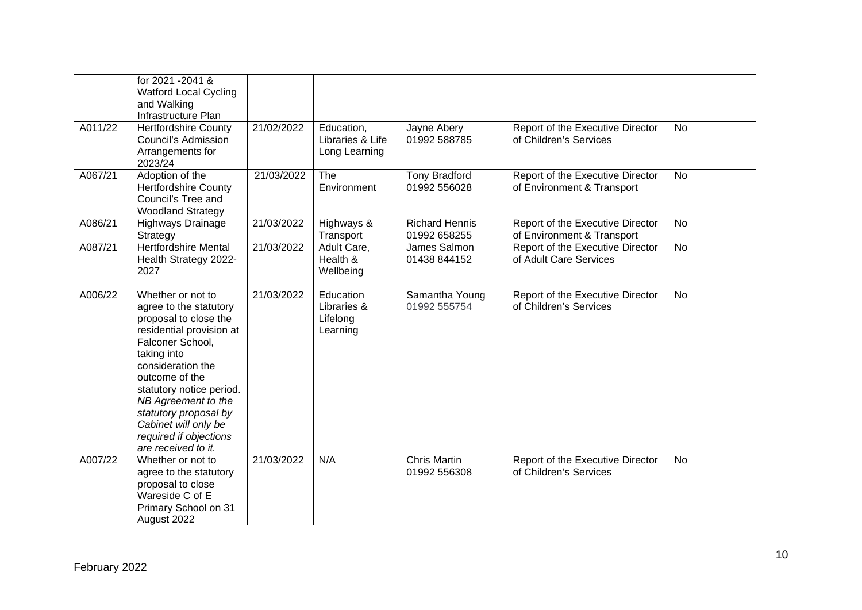|         | for 2021 - 2041 &<br><b>Watford Local Cycling</b><br>and Walking<br>Infrastructure Plan                                                                                                                                                                                                                                         |            |                                                  |                                       |                                                                |           |
|---------|---------------------------------------------------------------------------------------------------------------------------------------------------------------------------------------------------------------------------------------------------------------------------------------------------------------------------------|------------|--------------------------------------------------|---------------------------------------|----------------------------------------------------------------|-----------|
| A011/22 | <b>Hertfordshire County</b><br><b>Council's Admission</b><br>Arrangements for<br>2023/24                                                                                                                                                                                                                                        | 21/02/2022 | Education,<br>Libraries & Life<br>Long Learning  | Jayne Abery<br>01992 588785           | Report of the Executive Director<br>of Children's Services     | <b>No</b> |
| A067/21 | Adoption of the<br><b>Hertfordshire County</b><br>Council's Tree and<br><b>Woodland Strategy</b>                                                                                                                                                                                                                                | 21/03/2022 | The<br>Environment                               | <b>Tony Bradford</b><br>01992 556028  | Report of the Executive Director<br>of Environment & Transport | <b>No</b> |
| A086/21 | Highways Drainage<br>Strategy                                                                                                                                                                                                                                                                                                   | 21/03/2022 | Highways &<br>Transport                          | <b>Richard Hennis</b><br>01992 658255 | Report of the Executive Director<br>of Environment & Transport | <b>No</b> |
| A087/21 | <b>Hertfordshire Mental</b><br>Health Strategy 2022-<br>2027                                                                                                                                                                                                                                                                    | 21/03/2022 | Adult Care,<br>Health &<br>Wellbeing             | James Salmon<br>01438 844152          | Report of the Executive Director<br>of Adult Care Services     | <b>No</b> |
| A006/22 | Whether or not to<br>agree to the statutory<br>proposal to close the<br>residential provision at<br>Falconer School,<br>taking into<br>consideration the<br>outcome of the<br>statutory notice period.<br>NB Agreement to the<br>statutory proposal by<br>Cabinet will only be<br>required if objections<br>are received to it. | 21/03/2022 | Education<br>Libraries &<br>Lifelong<br>Learning | Samantha Young<br>01992 555754        | Report of the Executive Director<br>of Children's Services     | <b>No</b> |
| A007/22 | Whether or not to<br>agree to the statutory<br>proposal to close<br>Wareside C of E<br>Primary School on 31<br>August 2022                                                                                                                                                                                                      | 21/03/2022 | N/A                                              | <b>Chris Martin</b><br>01992 556308   | Report of the Executive Director<br>of Children's Services     | <b>No</b> |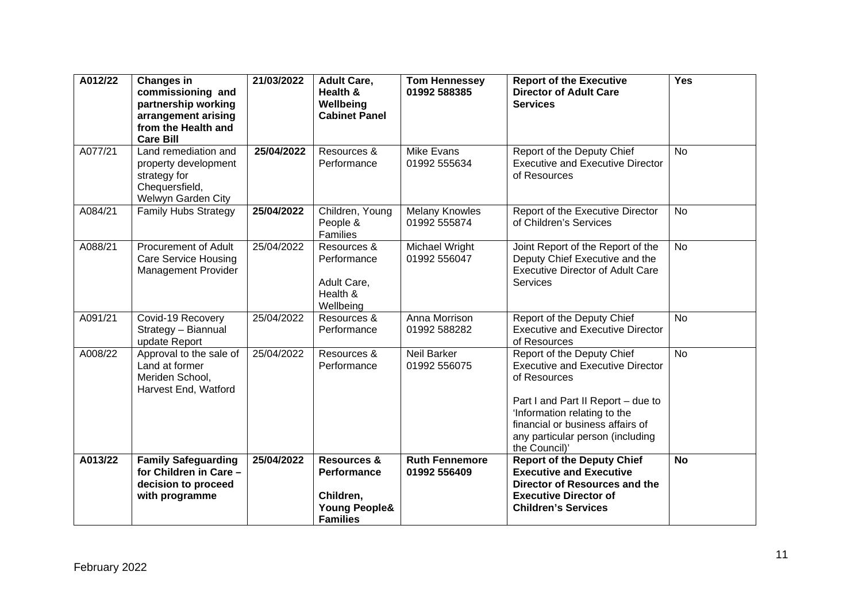| A012/22 | <b>Changes in</b><br>commissioning and<br>partnership working<br>arrangement arising<br>from the Health and<br><b>Care Bill</b> | 21/03/2022 | <b>Adult Care,</b><br>Health &<br>Wellbeing<br><b>Cabinet Panel</b>                               | <b>Tom Hennessey</b><br>01992 588385  | <b>Report of the Executive</b><br><b>Director of Adult Care</b><br><b>Services</b>                                                                                                                                                                   | Yes       |
|---------|---------------------------------------------------------------------------------------------------------------------------------|------------|---------------------------------------------------------------------------------------------------|---------------------------------------|------------------------------------------------------------------------------------------------------------------------------------------------------------------------------------------------------------------------------------------------------|-----------|
| A077/21 | Land remediation and<br>property development<br>strategy for<br>Chequersfield,<br>Welwyn Garden City                            | 25/04/2022 | Resources &<br>Performance                                                                        | <b>Mike Evans</b><br>01992 555634     | Report of the Deputy Chief<br><b>Executive and Executive Director</b><br>of Resources                                                                                                                                                                | <b>No</b> |
| A084/21 | <b>Family Hubs Strategy</b>                                                                                                     | 25/04/2022 | Children, Young<br>People &<br>Families                                                           | <b>Melany Knowles</b><br>01992 555874 | Report of the Executive Director<br>of Children's Services                                                                                                                                                                                           | <b>No</b> |
| A088/21 | <b>Procurement of Adult</b><br><b>Care Service Housing</b><br><b>Management Provider</b>                                        | 25/04/2022 | Resources &<br>Performance<br>Adult Care,<br>Health &<br>Wellbeing                                | Michael Wright<br>01992 556047        | Joint Report of the Report of the<br>Deputy Chief Executive and the<br><b>Executive Director of Adult Care</b><br>Services                                                                                                                           | <b>No</b> |
| A091/21 | Covid-19 Recovery<br>Strategy - Biannual<br>update Report                                                                       | 25/04/2022 | Resources &<br>Performance                                                                        | Anna Morrison<br>01992 588282         | Report of the Deputy Chief<br><b>Executive and Executive Director</b><br>of Resources                                                                                                                                                                | <b>No</b> |
| A008/22 | Approval to the sale of<br>Land at former<br>Meriden School,<br>Harvest End, Watford                                            | 25/04/2022 | Resources &<br>Performance                                                                        | <b>Neil Barker</b><br>01992 556075    | Report of the Deputy Chief<br><b>Executive and Executive Director</b><br>of Resources<br>Part I and Part II Report - due to<br>'Information relating to the<br>financial or business affairs of<br>any particular person (including<br>the Council)' | <b>No</b> |
| A013/22 | <b>Family Safeguarding</b><br>for Children in Care -<br>decision to proceed<br>with programme                                   | 25/04/2022 | <b>Resources &amp;</b><br>Performance<br>Children,<br><b>Young People&amp;</b><br><b>Families</b> | <b>Ruth Fennemore</b><br>01992 556409 | <b>Report of the Deputy Chief</b><br><b>Executive and Executive</b><br>Director of Resources and the<br><b>Executive Director of</b><br><b>Children's Services</b>                                                                                   | <b>No</b> |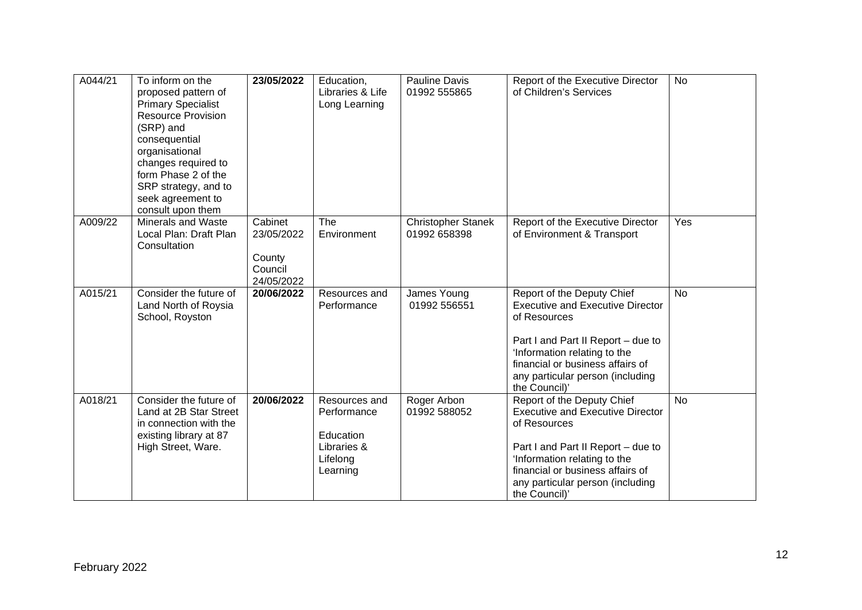| A044/21 | To inform on the<br>proposed pattern of<br><b>Primary Specialist</b><br><b>Resource Provision</b><br>(SRP) and<br>consequential<br>organisational<br>changes required to<br>form Phase 2 of the<br>SRP strategy, and to<br>seek agreement to<br>consult upon them | 23/05/2022                                               | Education,<br>Libraries & Life<br>Long Learning                                  | Pauline Davis<br>01992 555865             | Report of the Executive Director<br>of Children's Services                                                                                                                                                                                           | <b>No</b> |
|---------|-------------------------------------------------------------------------------------------------------------------------------------------------------------------------------------------------------------------------------------------------------------------|----------------------------------------------------------|----------------------------------------------------------------------------------|-------------------------------------------|------------------------------------------------------------------------------------------------------------------------------------------------------------------------------------------------------------------------------------------------------|-----------|
| A009/22 | <b>Minerals and Waste</b><br>Local Plan: Draft Plan<br>Consultation                                                                                                                                                                                               | Cabinet<br>23/05/2022<br>County<br>Council<br>24/05/2022 | The<br>Environment                                                               | <b>Christopher Stanek</b><br>01992 658398 | Report of the Executive Director<br>of Environment & Transport                                                                                                                                                                                       | Yes       |
| A015/21 | Consider the future of<br>Land North of Roysia<br>School, Royston                                                                                                                                                                                                 | 20/06/2022                                               | Resources and<br>Performance                                                     | James Young<br>01992 556551               | Report of the Deputy Chief<br><b>Executive and Executive Director</b><br>of Resources<br>Part I and Part II Report – due to<br>'Information relating to the<br>financial or business affairs of<br>any particular person (including<br>the Council)' | <b>No</b> |
| A018/21 | Consider the future of<br>Land at 2B Star Street<br>in connection with the<br>existing library at 87<br>High Street, Ware.                                                                                                                                        | 20/06/2022                                               | Resources and<br>Performance<br>Education<br>Libraries &<br>Lifelong<br>Learning | Roger Arbon<br>01992 588052               | Report of the Deputy Chief<br><b>Executive and Executive Director</b><br>of Resources<br>Part I and Part II Report - due to<br>'Information relating to the<br>financial or business affairs of<br>any particular person (including<br>the Council)' | <b>No</b> |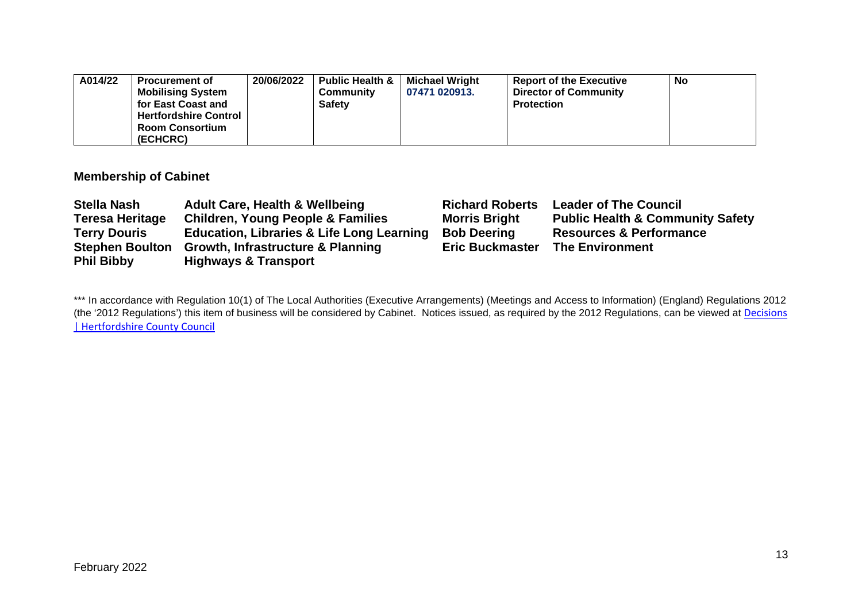| A014/22 | Procurement of               | 20/06/2022 | <b>Public Health &amp;</b> | <b>Michael Wright</b> | <b>Report of the Executive</b> | <b>No</b> |
|---------|------------------------------|------------|----------------------------|-----------------------|--------------------------------|-----------|
|         | <b>Mobilising System</b>     |            | Community                  | 07471 020913.         | <b>Director of Community</b>   |           |
|         | for East Coast and           |            | <b>Safety</b>              |                       | <b>Protection</b>              |           |
|         | <b>Hertfordshire Control</b> |            |                            |                       |                                |           |
|         | <b>Room Consortium</b>       |            |                            |                       |                                |           |
|         | (ECHCRC)                     |            |                            |                       |                                |           |

## **Membership of Cabinet**

| <b>Stella Nash</b>     | <b>Adult Care, Health &amp; Wellbeing</b>            | <b>Richard Roberts</b> | <b>Leader of The Council</b>                |
|------------------------|------------------------------------------------------|------------------------|---------------------------------------------|
| <b>Teresa Heritage</b> | <b>Children, Young People &amp; Families</b>         | <b>Morris Bright</b>   | <b>Public Health &amp; Community Safety</b> |
| <b>Terry Douris</b>    | <b>Education, Libraries &amp; Life Long Learning</b> | <b>Bob Deering</b>     | <b>Resources &amp; Performance</b>          |
|                        | Stephen Boulton Growth, Infrastructure & Planning    | <b>Eric Buckmaster</b> | <b>The Environment</b>                      |
| <b>Phil Bibby</b>      | <b>Highways &amp; Transport</b>                      |                        |                                             |

\*\*\* In accordance with Regulation 10(1) of The Local Authorities (Executive Arrangements) (Meetings and Access to Information) (England) Regulations 2012 (the '2012 Regulations') this item of business will be considered by Cabinet. Notices issued, as required by the 2012 Regulations, can be viewed at Decisions [| Hertfordshire County Council](https://www.hertfordshire.gov.uk/About-the-council/freedom-of-information-and-council-data/Open-Data-Statistics-about-Hertfordshire/How-we-make-decisions/Decisions/Decisions.aspx#keydecisions)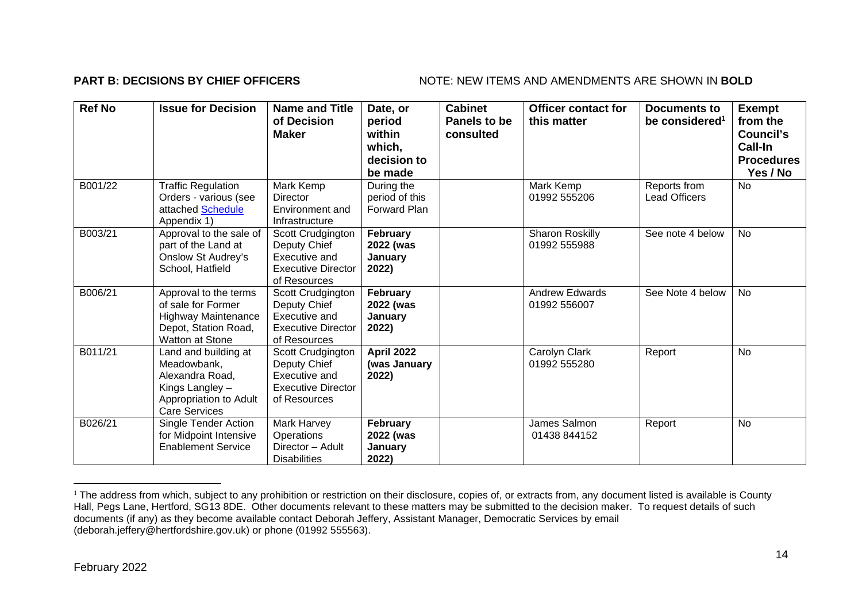### **PART B: DECISIONS BY CHIEF OFFICERS** NOTE: NEW ITEMS AND AMENDMENTS ARE SHOWN IN BOLD

| <b>Ref No</b> | <b>Issue for Decision</b>                                                                                                   | <b>Name and Title</b><br>of Decision<br><b>Maker</b>                                            | Date, or<br>period<br>within<br>which,<br>decision to<br>be made | <b>Cabinet</b><br>Panels to be<br>consulted | <b>Officer contact for</b><br>this matter | <b>Documents to</b><br>be considered <sup>1</sup> | <b>Exempt</b><br>from the<br>Council's<br>Call-In<br><b>Procedures</b><br>Yes / No |
|---------------|-----------------------------------------------------------------------------------------------------------------------------|-------------------------------------------------------------------------------------------------|------------------------------------------------------------------|---------------------------------------------|-------------------------------------------|---------------------------------------------------|------------------------------------------------------------------------------------|
| B001/22       | <b>Traffic Regulation</b><br>Orders - various (see<br>attached Schedule<br>Appendix 1)                                      | Mark Kemp<br><b>Director</b><br>Environment and<br>Infrastructure                               | During the<br>period of this<br><b>Forward Plan</b>              |                                             | Mark Kemp<br>01992 555206                 | Reports from<br><b>Lead Officers</b>              | <b>No</b>                                                                          |
| B003/21       | Approval to the sale of<br>part of the Land at<br><b>Onslow St Audrey's</b><br>School, Hatfield                             | Scott Crudgington<br>Deputy Chief<br>Executive and<br><b>Executive Director</b><br>of Resources | <b>February</b><br>2022 (was<br>Januarv<br>2022)                 |                                             | <b>Sharon Roskilly</b><br>01992 555988    | See note 4 below                                  | No                                                                                 |
| B006/21       | Approval to the terms<br>of sale for Former<br><b>Highway Maintenance</b><br>Depot, Station Road,<br>Watton at Stone        | Scott Crudgington<br>Deputy Chief<br>Executive and<br><b>Executive Director</b><br>of Resources | February<br>2022 (was<br>January<br>2022)                        |                                             | <b>Andrew Edwards</b><br>01992 556007     | See Note 4 below                                  | No                                                                                 |
| B011/21       | Land and building at<br>Meadowbank,<br>Alexandra Road,<br>Kings Langley -<br>Appropriation to Adult<br><b>Care Services</b> | Scott Crudgington<br>Deputy Chief<br>Executive and<br><b>Executive Director</b><br>of Resources | <b>April 2022</b><br>(was January<br>2022)                       |                                             | Carolyn Clark<br>01992 555280             | Report                                            | No                                                                                 |
| B026/21       | <b>Single Tender Action</b><br>for Midpoint Intensive<br><b>Enablement Service</b>                                          | Mark Harvey<br>Operations<br>Director - Adult<br><b>Disabilities</b>                            | <b>February</b><br>2022 (was<br>January<br>2022)                 |                                             | James Salmon<br>01438 844152              | Report                                            | No                                                                                 |

<sup>&</sup>lt;sup>1</sup> The address from which, subject to any prohibition or restriction on their disclosure, copies of, or extracts from, any document listed is available is County Hall, Pegs Lane, Hertford, SG13 8DE. Other documents relevant to these matters may be submitted to the decision maker. To request details of such documents (if any) as they become available contact Deborah Jeffery, Assistant Manager, Democratic Services by email (deborah.jeffery@hertfordshire.gov.uk) or phone (01992 555563).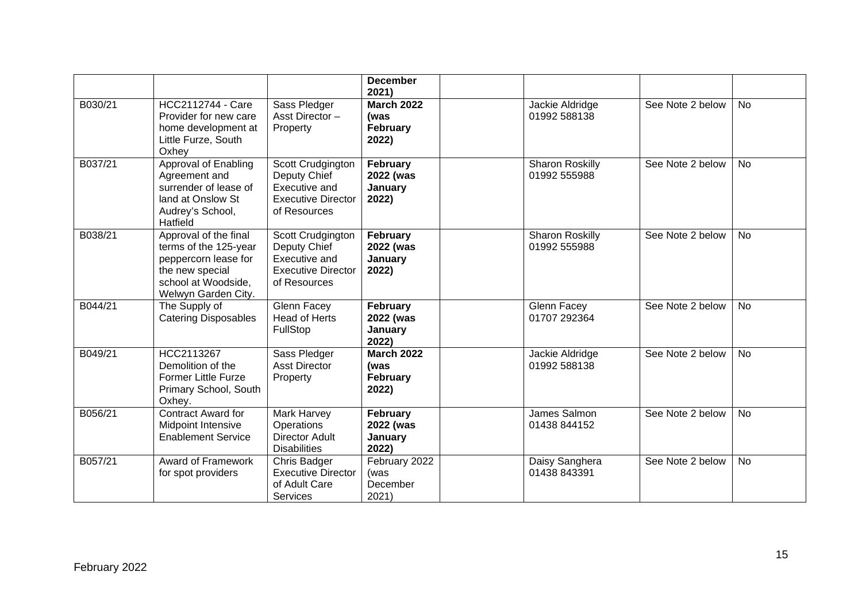|         |                                                                                                                                         |                                                                                                 | <b>December</b><br>2021)                              |                                        |                  |           |
|---------|-----------------------------------------------------------------------------------------------------------------------------------------|-------------------------------------------------------------------------------------------------|-------------------------------------------------------|----------------------------------------|------------------|-----------|
| B030/21 | <b>HCC2112744 - Care</b><br>Provider for new care<br>home development at<br>Little Furze, South<br>Oxhey                                | Sass Pledger<br>Asst Director-<br>Property                                                      | <b>March 2022</b><br>(was<br>February<br>2022)        | Jackie Aldridge<br>01992 588138        | See Note 2 below | <b>No</b> |
| B037/21 | Approval of Enabling<br>Agreement and<br>surrender of lease of<br>land at Onslow St<br>Audrey's School,<br>Hatfield                     | Scott Crudgington<br>Deputy Chief<br>Executive and<br><b>Executive Director</b><br>of Resources | February<br>2022 (was<br>January<br>2022)             | Sharon Roskilly<br>01992 555988        | See Note 2 below | <b>No</b> |
| B038/21 | Approval of the final<br>terms of the 125-year<br>peppercorn lease for<br>the new special<br>school at Woodside,<br>Welwyn Garden City. | Scott Crudgington<br>Deputy Chief<br>Executive and<br><b>Executive Director</b><br>of Resources | February<br>2022 (was<br>January<br>2022)             | <b>Sharon Roskilly</b><br>01992 555988 | See Note 2 below | <b>No</b> |
| B044/21 | The Supply of<br><b>Catering Disposables</b>                                                                                            | Glenn Facey<br><b>Head of Herts</b><br>FullStop                                                 | February<br>2022 (was<br>January<br>2022)             | Glenn Facey<br>01707 292364            | See Note 2 below | <b>No</b> |
| B049/21 | HCC2113267<br>Demolition of the<br><b>Former Little Furze</b><br>Primary School, South<br>Oxhey.                                        | Sass Pledger<br><b>Asst Director</b><br>Property                                                | <b>March 2022</b><br>(was<br><b>February</b><br>2022) | Jackie Aldridge<br>01992 588138        | See Note 2 below | No        |
| B056/21 | <b>Contract Award for</b><br>Midpoint Intensive<br><b>Enablement Service</b>                                                            | Mark Harvey<br>Operations<br>Director Adult<br><b>Disabilities</b>                              | February<br>2022 (was<br>January<br>2022)             | James Salmon<br>01438 844152           | See Note 2 below | <b>No</b> |
| B057/21 | <b>Award of Framework</b><br>for spot providers                                                                                         | Chris Badger<br><b>Executive Director</b><br>of Adult Care<br>Services                          | February 2022<br>(was<br>December<br>2021)            | Daisy Sanghera<br>01438 843391         | See Note 2 below | <b>No</b> |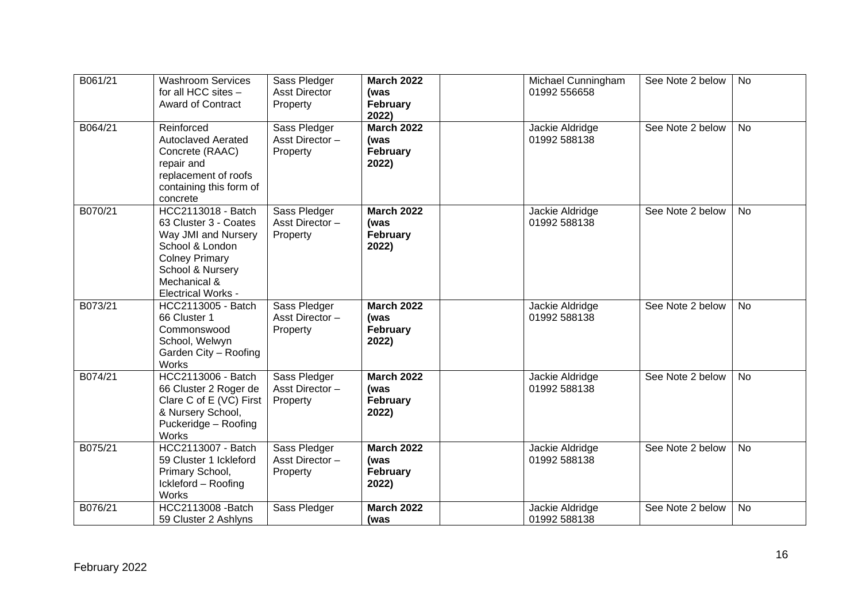| B061/21 | <b>Washroom Services</b><br>for all HCC sites -<br><b>Award of Contract</b>                                                                                                            | Sass Pledger<br><b>Asst Director</b><br>Property | <b>March 2022</b><br>(was<br>February<br>2022) | Michael Cunningham<br>01992 556658 | See Note 2 below | <b>No</b> |
|---------|----------------------------------------------------------------------------------------------------------------------------------------------------------------------------------------|--------------------------------------------------|------------------------------------------------|------------------------------------|------------------|-----------|
| B064/21 | Reinforced<br><b>Autoclaved Aerated</b><br>Concrete (RAAC)<br>repair and<br>replacement of roofs<br>containing this form of<br>concrete                                                | Sass Pledger<br>Asst Director-<br>Property       | <b>March 2022</b><br>(was<br>February<br>2022) | Jackie Aldridge<br>01992 588138    | See Note 2 below | <b>No</b> |
| B070/21 | <b>HCC2113018 - Batch</b><br>63 Cluster 3 - Coates<br>Way JMI and Nursery<br>School & London<br><b>Colney Primary</b><br>School & Nursery<br>Mechanical &<br><b>Electrical Works -</b> | Sass Pledger<br>Asst Director-<br>Property       | <b>March 2022</b><br>(was<br>February<br>2022) | Jackie Aldridge<br>01992 588138    | See Note 2 below | <b>No</b> |
| B073/21 | HCC2113005 - Batch<br>66 Cluster 1<br>Commonswood<br>School, Welwyn<br>Garden City - Roofing<br><b>Works</b>                                                                           | Sass Pledger<br>Asst Director-<br>Property       | <b>March 2022</b><br>(was<br>February<br>2022) | Jackie Aldridge<br>01992 588138    | See Note 2 below | No        |
| B074/21 | <b>HCC2113006 - Batch</b><br>66 Cluster 2 Roger de<br>Clare C of E (VC) First<br>& Nursery School,<br>Puckeridge - Roofing<br>Works                                                    | Sass Pledger<br>Asst Director-<br>Property       | <b>March 2022</b><br>(was<br>February<br>2022) | Jackie Aldridge<br>01992 588138    | See Note 2 below | <b>No</b> |
| B075/21 | HCC2113007 - Batch<br>59 Cluster 1 Ickleford<br>Primary School,<br>Ickleford - Roofing<br>Works                                                                                        | Sass Pledger<br>Asst Director-<br>Property       | <b>March 2022</b><br>(was<br>February<br>2022) | Jackie Aldridge<br>01992 588138    | See Note 2 below | <b>No</b> |
| B076/21 | <b>HCC2113008 -Batch</b><br>59 Cluster 2 Ashlyns                                                                                                                                       | Sass Pledger                                     | <b>March 2022</b><br>(was                      | Jackie Aldridge<br>01992 588138    | See Note 2 below | <b>No</b> |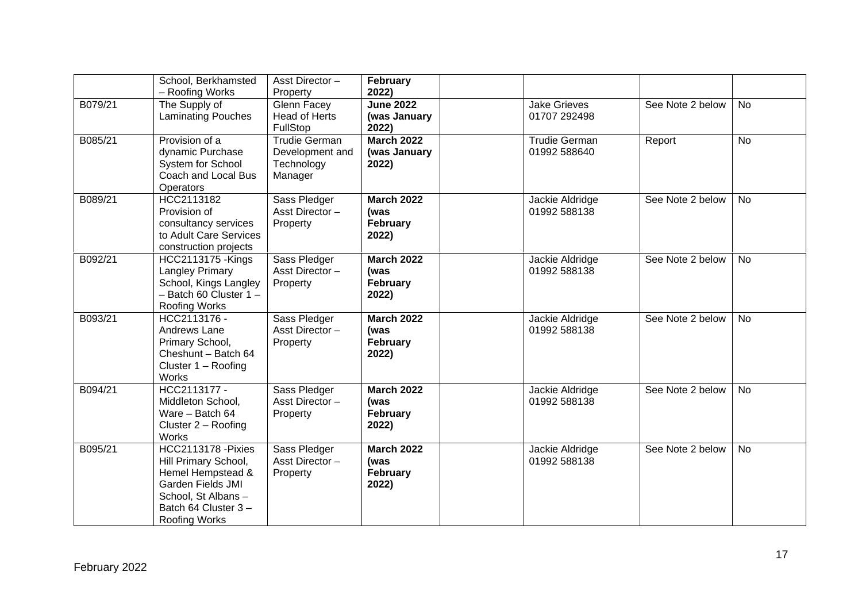|         | School, Berkhamsted<br>- Roofing Works                                                                                                                                   | Asst Director-<br>Property                                       | February<br>2022)                                     |                                      |                  |           |
|---------|--------------------------------------------------------------------------------------------------------------------------------------------------------------------------|------------------------------------------------------------------|-------------------------------------------------------|--------------------------------------|------------------|-----------|
| B079/21 | The Supply of<br><b>Laminating Pouches</b>                                                                                                                               | Glenn Facey<br><b>Head of Herts</b><br>FullStop                  | <b>June 2022</b><br>(was January<br>2022)             | <b>Jake Grieves</b><br>01707 292498  | See Note 2 below | <b>No</b> |
| B085/21 | Provision of a<br>dynamic Purchase<br>System for School<br>Coach and Local Bus<br>Operators                                                                              | <b>Trudie German</b><br>Development and<br>Technology<br>Manager | <b>March 2022</b><br>(was January<br>2022)            | <b>Trudie German</b><br>01992 588640 | Report           | <b>No</b> |
| B089/21 | HCC2113182<br>Provision of<br>consultancy services<br>to Adult Care Services<br>construction projects                                                                    | Sass Pledger<br>Asst Director-<br>Property                       | <b>March 2022</b><br>(was<br><b>February</b><br>2022) | Jackie Aldridge<br>01992 588138      | See Note 2 below | <b>No</b> |
| B092/21 | <b>HCC2113175 - Kings</b><br>Langley Primary<br>School, Kings Langley<br>$-$ Batch 60 Cluster 1 $-$<br>Roofing Works                                                     | Sass Pledger<br>Asst Director-<br>Property                       | <b>March 2022</b><br>(was<br>February<br>2022)        | Jackie Aldridge<br>01992 588138      | See Note 2 below | <b>No</b> |
| B093/21 | HCC2113176 -<br>Andrews Lane<br>Primary School,<br>Cheshunt - Batch 64<br>Cluster 1 - Roofing<br><b>Works</b>                                                            | Sass Pledger<br>Asst Director-<br>Property                       | <b>March 2022</b><br>(was<br>February<br>2022)        | Jackie Aldridge<br>01992 588138      | See Note 2 below | <b>No</b> |
| B094/21 | HCC2113177 -<br>Middleton School,<br>Ware - Batch 64<br>Cluster $2 -$ Roofing<br><b>Works</b>                                                                            | Sass Pledger<br>Asst Director-<br>Property                       | <b>March 2022</b><br>(was<br>February<br>2022)        | Jackie Aldridge<br>01992 588138      | See Note 2 below | <b>No</b> |
| B095/21 | <b>HCC2113178 - Pixies</b><br>Hill Primary School,<br>Hemel Hempstead &<br><b>Garden Fields JMI</b><br>School, St Albans-<br>Batch 64 Cluster 3-<br><b>Roofing Works</b> | Sass Pledger<br>Asst Director-<br>Property                       | <b>March 2022</b><br>(was<br><b>February</b><br>2022) | Jackie Aldridge<br>01992 588138      | See Note 2 below | <b>No</b> |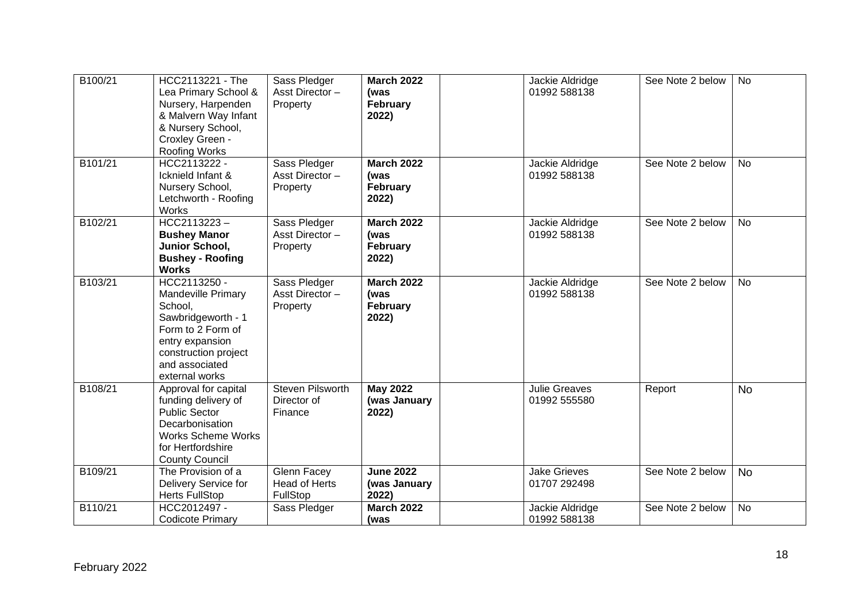| B100/21 | HCC2113221 - The<br>Lea Primary School &<br>Nursery, Harpenden<br>& Malvern Way Infant<br>& Nursery School,<br>Croxley Green -<br><b>Roofing Works</b>                  | Sass Pledger<br>Asst Director-<br>Property             | <b>March 2022</b><br>(was<br>February<br>2022)        | Jackie Aldridge<br>01992 588138      | See Note 2 below | <b>No</b> |
|---------|-------------------------------------------------------------------------------------------------------------------------------------------------------------------------|--------------------------------------------------------|-------------------------------------------------------|--------------------------------------|------------------|-----------|
| B101/21 | HCC2113222 -<br>Icknield Infant &<br>Nursery School,<br>Letchworth - Roofing<br><b>Works</b>                                                                            | Sass Pledger<br>Asst Director-<br>Property             | <b>March 2022</b><br>(was<br>February<br>2022)        | Jackie Aldridge<br>01992 588138      | See Note 2 below | No        |
| B102/21 | HCC2113223-<br><b>Bushey Manor</b><br>Junior School,<br><b>Bushey - Roofing</b><br><b>Works</b>                                                                         | Sass Pledger<br>Asst Director-<br>Property             | <b>March 2022</b><br>(was<br><b>February</b><br>2022) | Jackie Aldridge<br>01992 588138      | See Note 2 below | <b>No</b> |
| B103/21 | HCC2113250 -<br>Mandeville Primary<br>School,<br>Sawbridgeworth - 1<br>Form to 2 Form of<br>entry expansion<br>construction project<br>and associated<br>external works | Sass Pledger<br>Asst Director-<br>Property             | <b>March 2022</b><br>(was<br>February<br>2022)        | Jackie Aldridge<br>01992 588138      | See Note 2 below | <b>No</b> |
| B108/21 | Approval for capital<br>funding delivery of<br><b>Public Sector</b><br>Decarbonisation<br><b>Works Scheme Works</b><br>for Hertfordshire<br><b>County Council</b>       | <b>Steven Pilsworth</b><br>Director of<br>Finance      | <b>May 2022</b><br>(was January<br>2022)              | <b>Julie Greaves</b><br>01992 555580 | Report           | <b>No</b> |
| B109/21 | The Provision of a<br>Delivery Service for<br><b>Herts FullStop</b>                                                                                                     | <b>Glenn Facey</b><br><b>Head of Herts</b><br>FullStop | <b>June 2022</b><br>(was January<br>2022)             | <b>Jake Grieves</b><br>01707 292498  | See Note 2 below | <b>No</b> |
| B110/21 | HCC2012497 -<br><b>Codicote Primary</b>                                                                                                                                 | Sass Pledger                                           | <b>March 2022</b><br>(was                             | Jackie Aldridge<br>01992 588138      | See Note 2 below | No        |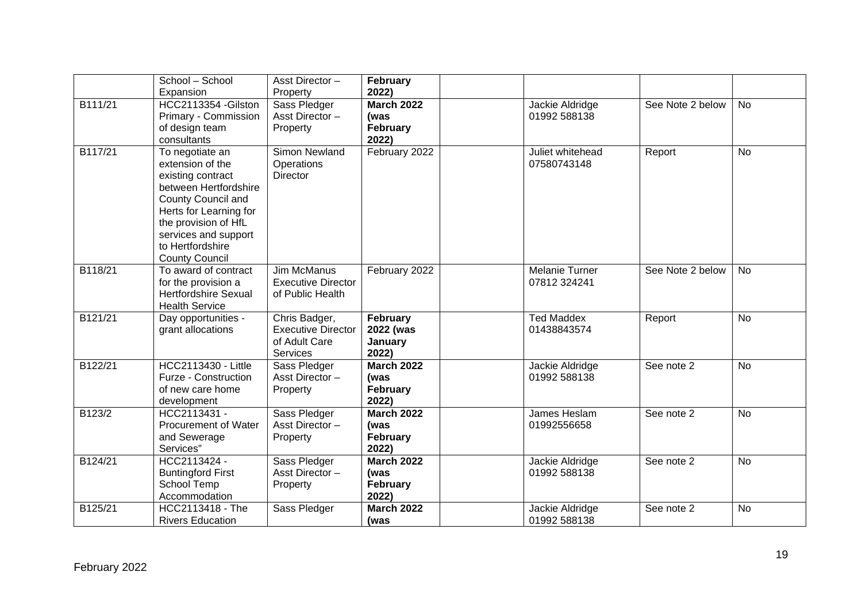|         | School - School                                                                                                                                                                                                                       | Asst Director-                                                                 | <b>February</b>                                       |                                       |                  |           |
|---------|---------------------------------------------------------------------------------------------------------------------------------------------------------------------------------------------------------------------------------------|--------------------------------------------------------------------------------|-------------------------------------------------------|---------------------------------------|------------------|-----------|
|         | Expansion                                                                                                                                                                                                                             | Property                                                                       | 2022)                                                 |                                       |                  |           |
| B111/21 | HCC2113354 - Gilston<br>Primary - Commission<br>of design team<br>consultants                                                                                                                                                         | Sass Pledger<br>Asst Director-<br>Property                                     | <b>March 2022</b><br>(was<br><b>February</b><br>2022) | Jackie Aldridge<br>01992 588138       | See Note 2 below | <b>No</b> |
| B117/21 | To negotiate an<br>extension of the<br>existing contract<br>between Hertfordshire<br><b>County Council and</b><br>Herts for Learning for<br>the provision of HfL<br>services and support<br>to Hertfordshire<br><b>County Council</b> | Simon Newland<br>Operations<br><b>Director</b>                                 | February 2022                                         | Juliet whitehead<br>07580743148       | Report           | <b>No</b> |
| B118/21 | To award of contract<br>for the provision a<br><b>Hertfordshire Sexual</b><br><b>Health Service</b>                                                                                                                                   | <b>Jim McManus</b><br><b>Executive Director</b><br>of Public Health            | February 2022                                         | <b>Melanie Turner</b><br>07812 324241 | See Note 2 below | <b>No</b> |
| B121/21 | Day opportunities -<br>grant allocations                                                                                                                                                                                              | Chris Badger,<br><b>Executive Director</b><br>of Adult Care<br><b>Services</b> | February<br>2022 (was<br>January<br>2022)             | <b>Ted Maddex</b><br>01438843574      | Report           | <b>No</b> |
| B122/21 | HCC2113430 - Little<br>Furze - Construction<br>of new care home<br>development                                                                                                                                                        | Sass Pledger<br>Asst Director-<br>Property                                     | <b>March 2022</b><br>(was<br><b>February</b><br>2022) | Jackie Aldridge<br>01992 588138       | See note 2       | <b>No</b> |
| B123/2  | HCC2113431 -<br><b>Procurement of Water</b><br>and Sewerage<br>Services"                                                                                                                                                              | Sass Pledger<br>Asst Director-<br>Property                                     | <b>March 2022</b><br>(was<br>February<br>2022)        | James Heslam<br>01992556658           | See note 2       | <b>No</b> |
| B124/21 | HCC2113424 -<br><b>Buntingford First</b><br>School Temp<br>Accommodation                                                                                                                                                              | Sass Pledger<br>Asst Director-<br>Property                                     | <b>March 2022</b><br>(was<br>February<br>2022)        | Jackie Aldridge<br>01992 588138       | See note 2       | <b>No</b> |
| B125/21 | HCC2113418 - The<br><b>Rivers Education</b>                                                                                                                                                                                           | Sass Pledger                                                                   | <b>March 2022</b><br>(was                             | Jackie Aldridge<br>01992 588138       | See note 2       | <b>No</b> |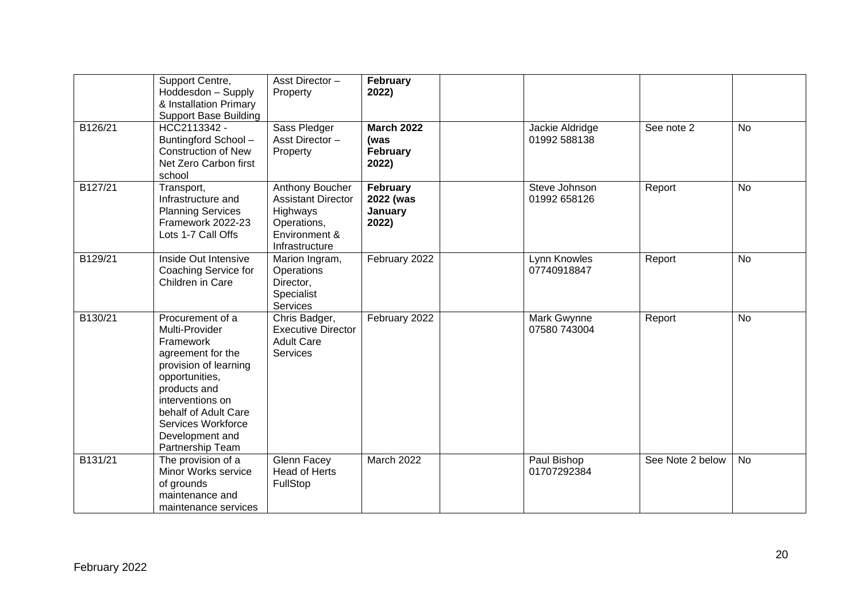|         | Support Centre,<br>Hoddesdon - Supply<br>& Installation Primary<br><b>Support Base Building</b>                                                                                                                                          | Asst Director-<br>Property                                                                                 | February<br>2022)                              |                                 |                  |           |
|---------|------------------------------------------------------------------------------------------------------------------------------------------------------------------------------------------------------------------------------------------|------------------------------------------------------------------------------------------------------------|------------------------------------------------|---------------------------------|------------------|-----------|
| B126/21 | HCC2113342 -<br>Buntingford School-<br><b>Construction of New</b><br>Net Zero Carbon first<br>school                                                                                                                                     | Sass Pledger<br>Asst Director-<br>Property                                                                 | <b>March 2022</b><br>(was<br>February<br>2022) | Jackie Aldridge<br>01992 588138 | See note 2       | <b>No</b> |
| B127/21 | Transport,<br>Infrastructure and<br><b>Planning Services</b><br>Framework 2022-23<br>Lots 1-7 Call Offs                                                                                                                                  | Anthony Boucher<br><b>Assistant Director</b><br>Highways<br>Operations,<br>Environment &<br>Infrastructure | February<br>2022 (was<br>January<br>2022)      | Steve Johnson<br>01992 658126   | Report           | No        |
| B129/21 | Inside Out Intensive<br>Coaching Service for<br>Children in Care                                                                                                                                                                         | Marion Ingram,<br>Operations<br>Director,<br>Specialist<br>Services                                        | February 2022                                  | Lynn Knowles<br>07740918847     | Report           | No        |
| B130/21 | Procurement of a<br>Multi-Provider<br>Framework<br>agreement for the<br>provision of learning<br>opportunities,<br>products and<br>interventions on<br>behalf of Adult Care<br>Services Workforce<br>Development and<br>Partnership Team | Chris Badger,<br><b>Executive Director</b><br><b>Adult Care</b><br>Services                                | February 2022                                  | Mark Gwynne<br>07580 743004     | Report           | <b>No</b> |
| B131/21 | The provision of a<br>Minor Works service<br>of grounds<br>maintenance and<br>maintenance services                                                                                                                                       | Glenn Facey<br><b>Head of Herts</b><br>FullStop                                                            | March 2022                                     | Paul Bishop<br>01707292384      | See Note 2 below | No        |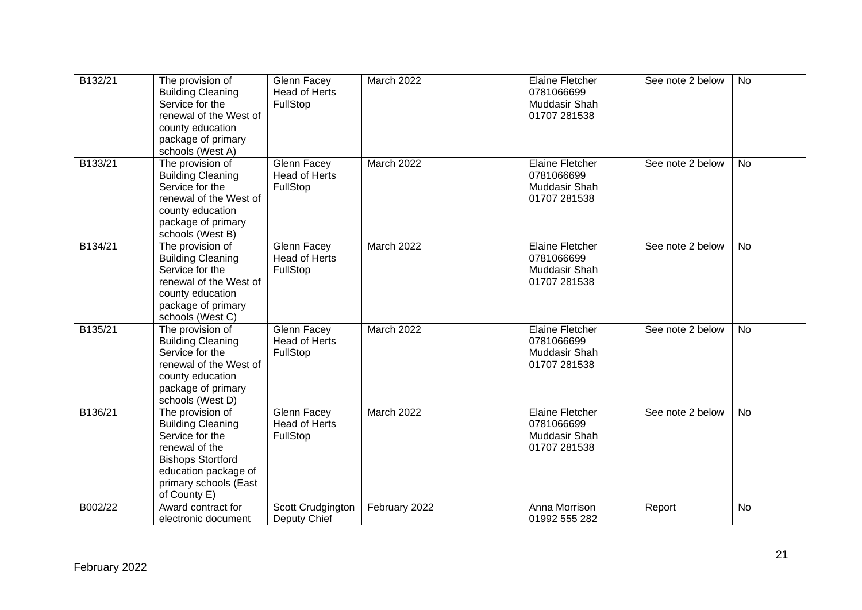| B132/21 | The provision of<br><b>Building Cleaning</b><br>Service for the<br>renewal of the West of<br>county education<br>package of primary<br>schools (West A)                        | Glenn Facey<br><b>Head of Herts</b><br>FullStop | March 2022    | <b>Elaine Fletcher</b><br>0781066699<br>Muddasir Shah<br>01707 281538 | See note 2 below | No        |
|---------|--------------------------------------------------------------------------------------------------------------------------------------------------------------------------------|-------------------------------------------------|---------------|-----------------------------------------------------------------------|------------------|-----------|
| B133/21 | The provision of<br><b>Building Cleaning</b><br>Service for the<br>renewal of the West of<br>county education<br>package of primary<br>schools (West B)                        | Glenn Facey<br>Head of Herts<br>FullStop        | March 2022    | <b>Elaine Fletcher</b><br>0781066699<br>Muddasir Shah<br>01707 281538 | See note 2 below | <b>No</b> |
| B134/21 | The provision of<br><b>Building Cleaning</b><br>Service for the<br>renewal of the West of<br>county education<br>package of primary<br>schools (West C)                        | Glenn Facey<br><b>Head of Herts</b><br>FullStop | March 2022    | <b>Elaine Fletcher</b><br>0781066699<br>Muddasir Shah<br>01707 281538 | See note 2 below | No        |
| B135/21 | The provision of<br><b>Building Cleaning</b><br>Service for the<br>renewal of the West of<br>county education<br>package of primary<br>schools (West D)                        | Glenn Facey<br><b>Head of Herts</b><br>FullStop | March 2022    | <b>Elaine Fletcher</b><br>0781066699<br>Muddasir Shah<br>01707 281538 | See note 2 below | <b>No</b> |
| B136/21 | The provision of<br><b>Building Cleaning</b><br>Service for the<br>renewal of the<br><b>Bishops Stortford</b><br>education package of<br>primary schools (East<br>of County E) | Glenn Facey<br><b>Head of Herts</b><br>FullStop | March 2022    | <b>Elaine Fletcher</b><br>0781066699<br>Muddasir Shah<br>01707 281538 | See note 2 below | <b>No</b> |
| B002/22 | Award contract for<br>electronic document                                                                                                                                      | Scott Crudgington<br>Deputy Chief               | February 2022 | Anna Morrison<br>01992 555 282                                        | Report           | No        |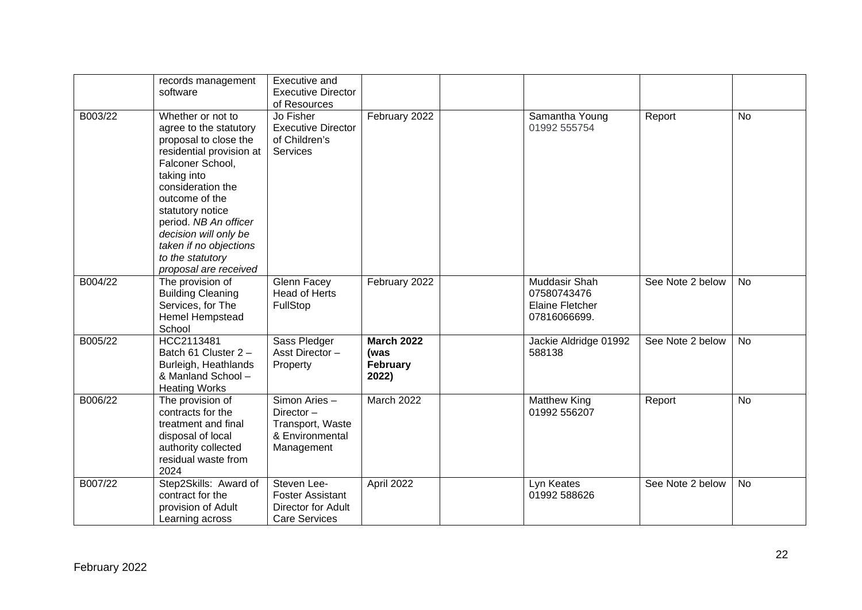|         | records management<br>software                                                                                                                                                                                                                                                                                          | Executive and<br><b>Executive Director</b><br>of Resources                           |                                                |                                                                        |                  |           |
|---------|-------------------------------------------------------------------------------------------------------------------------------------------------------------------------------------------------------------------------------------------------------------------------------------------------------------------------|--------------------------------------------------------------------------------------|------------------------------------------------|------------------------------------------------------------------------|------------------|-----------|
| B003/22 | Whether or not to<br>agree to the statutory<br>proposal to close the<br>residential provision at<br>Falconer School,<br>taking into<br>consideration the<br>outcome of the<br>statutory notice<br>period. NB An officer<br>decision will only be<br>taken if no objections<br>to the statutory<br>proposal are received | Jo Fisher<br><b>Executive Director</b><br>of Children's<br><b>Services</b>           | February 2022                                  | Samantha Young<br>01992 555754                                         | Report           | <b>No</b> |
| B004/22 | The provision of<br><b>Building Cleaning</b><br>Services, for The<br>Hemel Hempstead<br>School                                                                                                                                                                                                                          | Glenn Facey<br>Head of Herts<br>FullStop                                             | February 2022                                  | Muddasir Shah<br>07580743476<br><b>Elaine Fletcher</b><br>07816066699. | See Note 2 below | <b>No</b> |
| B005/22 | HCC2113481<br>Batch 61 Cluster 2-<br>Burleigh, Heathlands<br>& Manland School -<br><b>Heating Works</b>                                                                                                                                                                                                                 | Sass Pledger<br>Asst Director-<br>Property                                           | <b>March 2022</b><br>(was<br>February<br>2022) | Jackie Aldridge 01992<br>588138                                        | See Note 2 below | <b>No</b> |
| B006/22 | The provision of<br>contracts for the<br>treatment and final<br>disposal of local<br>authority collected<br>residual waste from<br>2024                                                                                                                                                                                 | Simon Aries -<br>Director-<br>Transport, Waste<br>& Environmental<br>Management      | March 2022                                     | <b>Matthew King</b><br>01992 556207                                    | Report           | <b>No</b> |
| B007/22 | Step2Skills: Award of<br>contract for the<br>provision of Adult<br>Learning across                                                                                                                                                                                                                                      | Steven Lee-<br><b>Foster Assistant</b><br>Director for Adult<br><b>Care Services</b> | April 2022                                     | Lyn Keates<br>01992 588626                                             | See Note 2 below | <b>No</b> |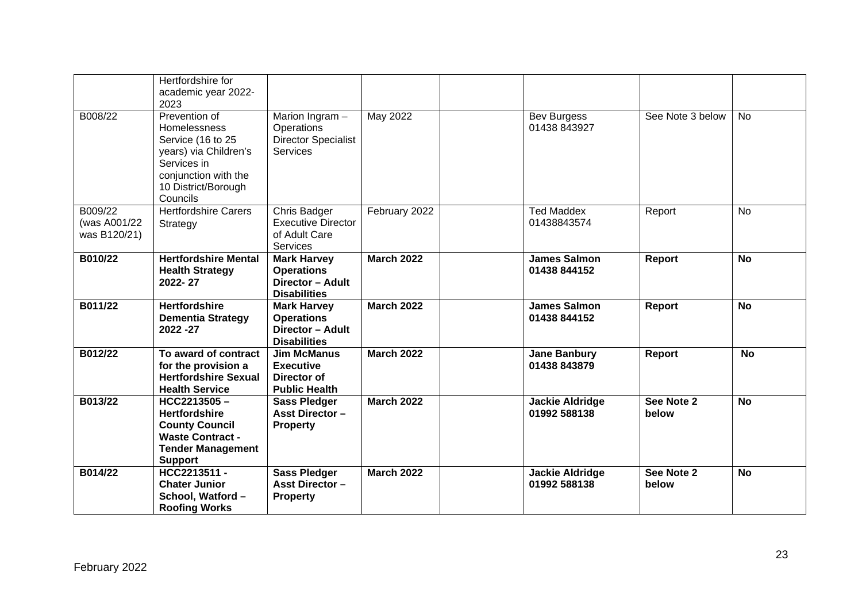|                                         | Hertfordshire for<br>academic year 2022-<br>2023                                                                                                             |                                                                                      |                   |                                        |                     |           |
|-----------------------------------------|--------------------------------------------------------------------------------------------------------------------------------------------------------------|--------------------------------------------------------------------------------------|-------------------|----------------------------------------|---------------------|-----------|
| B008/22                                 | Prevention of<br><b>Homelessness</b><br>Service (16 to 25<br>years) via Children's<br>Services in<br>conjunction with the<br>10 District/Borough<br>Councils | Marion Ingram -<br>Operations<br><b>Director Specialist</b><br><b>Services</b>       | <b>May 2022</b>   | <b>Bev Burgess</b><br>01438 843927     | See Note 3 below    | <b>No</b> |
| B009/22<br>(was A001/22<br>was B120/21) | <b>Hertfordshire Carers</b><br>Strategy                                                                                                                      | <b>Chris Badger</b><br><b>Executive Director</b><br>of Adult Care<br><b>Services</b> | February 2022     | <b>Ted Maddex</b><br>01438843574       | Report              | <b>No</b> |
| B010/22                                 | <b>Hertfordshire Mental</b><br><b>Health Strategy</b><br>2022-27                                                                                             | <b>Mark Harvey</b><br><b>Operations</b><br>Director - Adult<br><b>Disabilities</b>   | <b>March 2022</b> | <b>James Salmon</b><br>01438 844152    | Report              | <b>No</b> |
| B011/22                                 | <b>Hertfordshire</b><br><b>Dementia Strategy</b><br>2022 - 27                                                                                                | <b>Mark Harvey</b><br><b>Operations</b><br>Director - Adult<br><b>Disabilities</b>   | <b>March 2022</b> | <b>James Salmon</b><br>01438 844152    | Report              | <b>No</b> |
| B012/22                                 | To award of contract<br>for the provision a<br><b>Hertfordshire Sexual</b><br><b>Health Service</b>                                                          | <b>Jim McManus</b><br><b>Executive</b><br>Director of<br><b>Public Health</b>        | <b>March 2022</b> | <b>Jane Banbury</b><br>01438 843879    | Report              | <b>No</b> |
| B013/22                                 | $HCC2213505 -$<br><b>Hertfordshire</b><br><b>County Council</b><br><b>Waste Contract -</b><br><b>Tender Management</b><br><b>Support</b>                     | <b>Sass Pledger</b><br><b>Asst Director -</b><br><b>Property</b>                     | <b>March 2022</b> | <b>Jackie Aldridge</b><br>01992 588138 | See Note 2<br>below | <b>No</b> |
| B014/22                                 | HCC2213511-<br><b>Chater Junior</b><br>School, Watford -<br><b>Roofing Works</b>                                                                             | <b>Sass Pledger</b><br><b>Asst Director -</b><br><b>Property</b>                     | <b>March 2022</b> | <b>Jackie Aldridge</b><br>01992 588138 | See Note 2<br>below | <b>No</b> |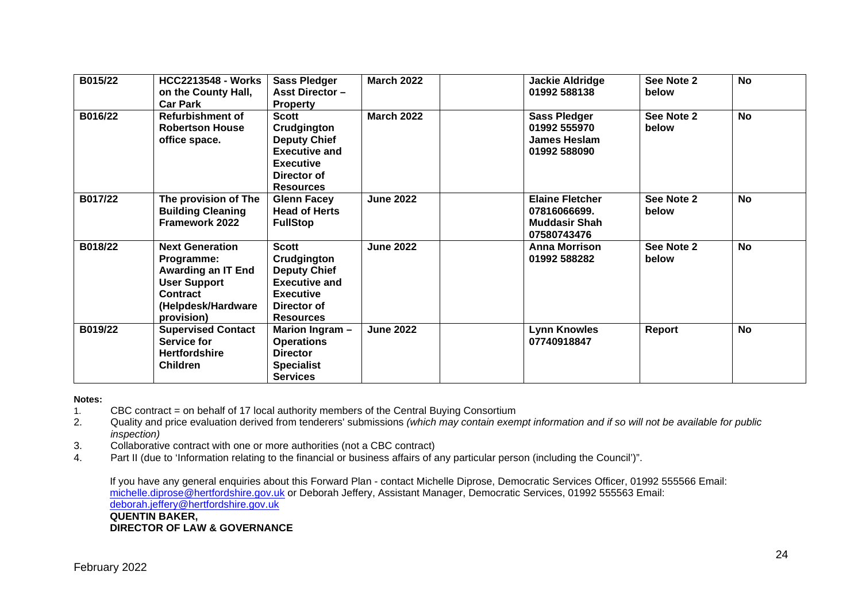| B015/22 | <b>HCC2213548 - Works</b><br>on the County Hall,<br><b>Car Park</b>                                                                             | <b>Sass Pledger</b><br><b>Asst Director -</b><br><b>Property</b>                                                                  | <b>March 2022</b> | <b>Jackie Aldridge</b><br>01992 588138                                        | See Note 2<br>below | <b>No</b> |
|---------|-------------------------------------------------------------------------------------------------------------------------------------------------|-----------------------------------------------------------------------------------------------------------------------------------|-------------------|-------------------------------------------------------------------------------|---------------------|-----------|
| B016/22 | Refurbishment of<br><b>Robertson House</b><br>office space.                                                                                     | <b>Scott</b><br>Crudgington<br><b>Deputy Chief</b><br><b>Executive and</b><br><b>Executive</b><br>Director of<br><b>Resources</b> | <b>March 2022</b> | <b>Sass Pledger</b><br>01992 555970<br>James Heslam<br>01992 588090           | See Note 2<br>below | <b>No</b> |
| B017/22 | The provision of The<br><b>Building Cleaning</b><br>Framework 2022                                                                              | <b>Glenn Facey</b><br><b>Head of Herts</b><br><b>FullStop</b>                                                                     | <b>June 2022</b>  | <b>Elaine Fletcher</b><br>07816066699.<br><b>Muddasir Shah</b><br>07580743476 | See Note 2<br>below | <b>No</b> |
| B018/22 | <b>Next Generation</b><br>Programme:<br><b>Awarding an IT End</b><br><b>User Support</b><br><b>Contract</b><br>(Helpdesk/Hardware<br>provision) | <b>Scott</b><br>Crudgington<br><b>Deputy Chief</b><br><b>Executive and</b><br><b>Executive</b><br>Director of<br><b>Resources</b> | <b>June 2022</b>  | Anna Morrison<br>01992 588282                                                 | See Note 2<br>below | <b>No</b> |
| B019/22 | <b>Supervised Contact</b><br>Service for<br><b>Hertfordshire</b><br><b>Children</b>                                                             | Marion Ingram -<br><b>Operations</b><br><b>Director</b><br><b>Specialist</b><br><b>Services</b>                                   | <b>June 2022</b>  | <b>Lynn Knowles</b><br>07740918847                                            | Report              | No        |

### **Notes:**

- 1. CBC contract = on behalf of 17 local authority members of the Central Buying Consortium
- 2. Quality and price evaluation derived from tenderers' submissions *(which may contain exempt information and if so will not be available for public inspection)*
- 3. Collaborative contract with one or more authorities (not a CBC contract)
- 4. Part II (due to 'Information relating to the financial or business affairs of any particular person (including the Council')".

If you have any general enquiries about this Forward Plan - contact Michelle Diprose, Democratic Services Officer, 01992 555566 Email: [michelle.diprose@hertfordshire.gov.uk](mailto:michelle.diprose@hertfordshire.gov.uk) or Deborah Jeffery, Assistant Manager, Democratic Services, 01992 555563 Email: [deborah.jeffery@hertfordshire.gov.uk](mailto:deborah.jeffery@hertfordshire.gov.uk) **QUENTIN BAKER, DIRECTOR OF LAW & GOVERNANCE**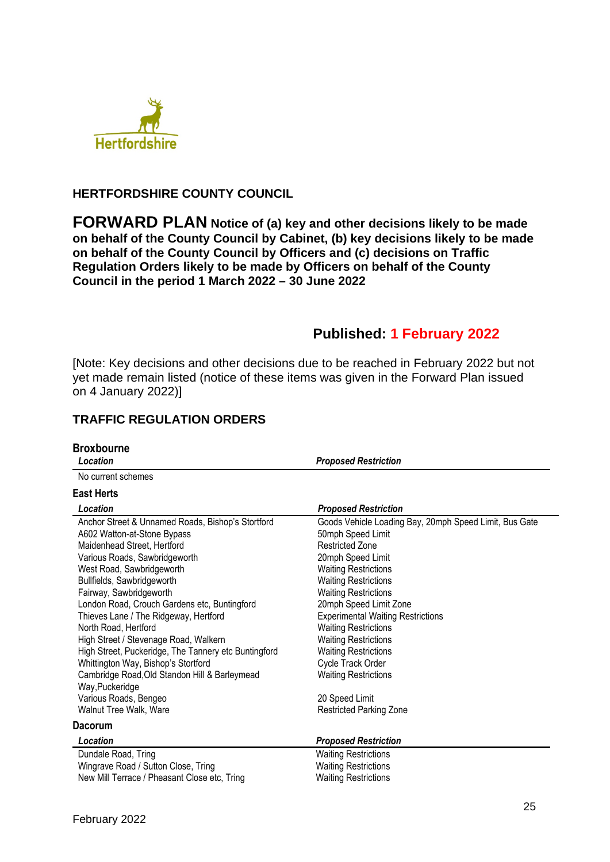

## **HERTFORDSHIRE COUNTY COUNCIL**

**FORWARD PLAN Notice of (a) key and other decisions likely to be made on behalf of the County Council by Cabinet, (b) key decisions likely to be made on behalf of the County Council by Officers and (c) decisions on Traffic Regulation Orders likely to be made by Officers on behalf of the County Council in the period 1 March 2022 – 30 June 2022** 

# **Published: 1 February 2022**

[Note: Key decisions and other decisions due to be reached in February 2022 but not yet made remain listed (notice of these items was given in the Forward Plan issued on 4 January 2022)]

## **TRAFFIC REGULATION ORDERS**

| <b>Broxbourne</b><br>Location                                                                                                                                                                                                                                                                                                                                                                                                                                                                                                                                                                | <b>Proposed Restriction</b>                                                                                                                                                                                                                                                                                                                                                                                                                                      |
|----------------------------------------------------------------------------------------------------------------------------------------------------------------------------------------------------------------------------------------------------------------------------------------------------------------------------------------------------------------------------------------------------------------------------------------------------------------------------------------------------------------------------------------------------------------------------------------------|------------------------------------------------------------------------------------------------------------------------------------------------------------------------------------------------------------------------------------------------------------------------------------------------------------------------------------------------------------------------------------------------------------------------------------------------------------------|
| No current schemes                                                                                                                                                                                                                                                                                                                                                                                                                                                                                                                                                                           |                                                                                                                                                                                                                                                                                                                                                                                                                                                                  |
| <b>East Herts</b>                                                                                                                                                                                                                                                                                                                                                                                                                                                                                                                                                                            |                                                                                                                                                                                                                                                                                                                                                                                                                                                                  |
| Location                                                                                                                                                                                                                                                                                                                                                                                                                                                                                                                                                                                     | <b>Proposed Restriction</b>                                                                                                                                                                                                                                                                                                                                                                                                                                      |
| Anchor Street & Unnamed Roads, Bishop's Stortford<br>A602 Watton-at-Stone Bypass<br>Maidenhead Street, Hertford<br>Various Roads, Sawbridgeworth<br>West Road, Sawbridgeworth<br>Bullfields, Sawbridgeworth<br>Fairway, Sawbridgeworth<br>London Road, Crouch Gardens etc, Buntingford<br>Thieves Lane / The Ridgeway, Hertford<br>North Road, Hertford<br>High Street / Stevenage Road, Walkern<br>High Street, Puckeridge, The Tannery etc Buntingford<br>Whittington Way, Bishop's Stortford<br>Cambridge Road, Old Standon Hill & Barleymead<br>Way, Puckeridge<br>Various Roads, Bengeo | Goods Vehicle Loading Bay, 20mph Speed Limit, Bus Gate<br>50mph Speed Limit<br><b>Restricted Zone</b><br>20mph Speed Limit<br><b>Waiting Restrictions</b><br><b>Waiting Restrictions</b><br><b>Waiting Restrictions</b><br>20mph Speed Limit Zone<br><b>Experimental Waiting Restrictions</b><br><b>Waiting Restrictions</b><br><b>Waiting Restrictions</b><br><b>Waiting Restrictions</b><br>Cycle Track Order<br><b>Waiting Restrictions</b><br>20 Speed Limit |
| Walnut Tree Walk, Ware                                                                                                                                                                                                                                                                                                                                                                                                                                                                                                                                                                       | <b>Restricted Parking Zone</b>                                                                                                                                                                                                                                                                                                                                                                                                                                   |
| <b>Dacorum</b>                                                                                                                                                                                                                                                                                                                                                                                                                                                                                                                                                                               |                                                                                                                                                                                                                                                                                                                                                                                                                                                                  |
| Location                                                                                                                                                                                                                                                                                                                                                                                                                                                                                                                                                                                     | <b>Proposed Restriction</b>                                                                                                                                                                                                                                                                                                                                                                                                                                      |
| Dundale Road, Tring<br>Wingrave Road / Sutton Close, Tring<br>New Mill Terrace / Pheasant Close etc, Tring                                                                                                                                                                                                                                                                                                                                                                                                                                                                                   | <b>Waiting Restrictions</b><br><b>Waiting Restrictions</b><br><b>Waiting Restrictions</b>                                                                                                                                                                                                                                                                                                                                                                        |